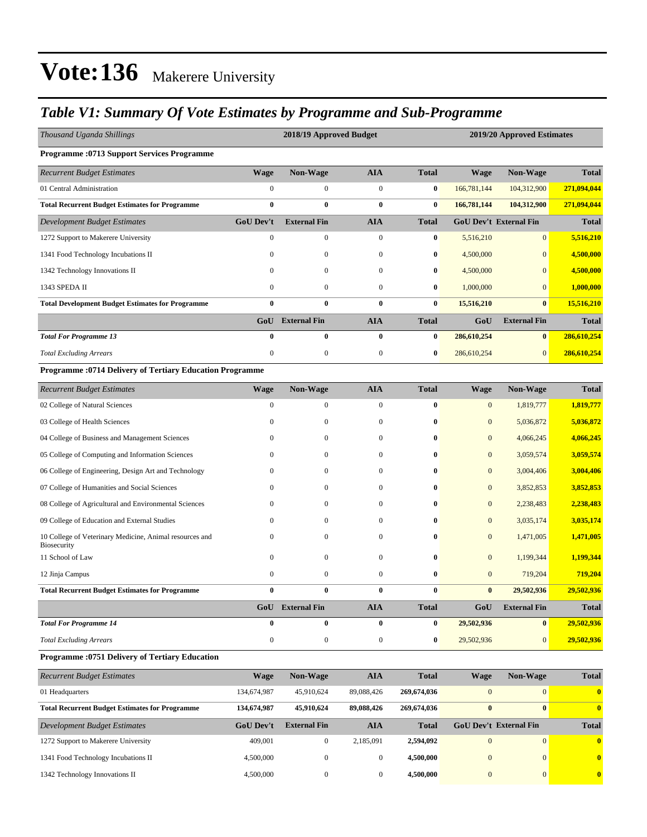### *Table V1: Summary Of Vote Estimates by Programme and Sub-Programme*

| Thousand Uganda Shillings                                              |                  | 2018/19 Approved Budget |                  |              | 2019/20 Approved Estimates |                               |              |
|------------------------------------------------------------------------|------------------|-------------------------|------------------|--------------|----------------------------|-------------------------------|--------------|
| <b>Programme: 0713 Support Services Programme</b>                      |                  |                         |                  |              |                            |                               |              |
| <b>Recurrent Budget Estimates</b>                                      | <b>Wage</b>      | <b>Non-Wage</b>         | <b>AIA</b>       | <b>Total</b> | <b>Wage</b>                | <b>Non-Wage</b>               | <b>Total</b> |
| 01 Central Administration                                              | $\boldsymbol{0}$ | $\overline{0}$          | $\boldsymbol{0}$ | $\bf{0}$     | 166,781,144                | 104,312,900                   | 271,094,044  |
| <b>Total Recurrent Budget Estimates for Programme</b>                  | $\bf{0}$         | $\bf{0}$                | $\bf{0}$         | $\bf{0}$     | 166,781,144                | 104,312,900                   | 271,094,044  |
| Development Budget Estimates                                           | <b>GoU Dev't</b> | <b>External Fin</b>     | <b>AIA</b>       | <b>Total</b> |                            | <b>GoU Dev't External Fin</b> | <b>Total</b> |
| 1272 Support to Makerere University                                    | $\boldsymbol{0}$ | $\overline{0}$          | $\mathbf{0}$     | $\bf{0}$     | 5,516,210                  | $\mathbf{0}$                  | 5,516,210    |
| 1341 Food Technology Incubations II                                    | $\theta$         | $\mathbf{0}$            | $\boldsymbol{0}$ | 0            | 4,500,000                  | $\overline{0}$                | 4,500,000    |
| 1342 Technology Innovations II                                         | $\mathbf{0}$     | $\mathbf{0}$            | $\overline{0}$   | $\bf{0}$     | 4,500,000                  | $\overline{0}$                | 4,500,000    |
| 1343 SPEDA II                                                          | $\mathbf{0}$     | $\overline{0}$          | $\overline{0}$   | $\bf{0}$     | 1,000,000                  | $\overline{0}$                | 1,000,000    |
| <b>Total Development Budget Estimates for Programme</b>                | $\bf{0}$         | $\bf{0}$                | $\bf{0}$         | $\bf{0}$     | 15,516,210                 | $\bf{0}$                      | 15,516,210   |
|                                                                        | GoU              | <b>External Fin</b>     | <b>AIA</b>       | <b>Total</b> | GoU                        | <b>External Fin</b>           | <b>Total</b> |
| <b>Total For Programme 13</b>                                          | $\bf{0}$         | $\bf{0}$                | $\bf{0}$         | $\bf{0}$     | 286,610,254                | $\bf{0}$                      | 286,610,254  |
| <b>Total Excluding Arrears</b>                                         | $\mathbf{0}$     | $\mathbf{0}$            | $\boldsymbol{0}$ | $\bf{0}$     | 286,610,254                | $\overline{0}$                | 286,610,254  |
| <b>Programme: 0714 Delivery of Tertiary Education Programme</b>        |                  |                         |                  |              |                            |                               |              |
| <b>Recurrent Budget Estimates</b>                                      | <b>Wage</b>      | Non-Wage                | <b>AIA</b>       | <b>Total</b> | <b>Wage</b>                | <b>Non-Wage</b>               | <b>Total</b> |
| 02 College of Natural Sciences                                         | $\boldsymbol{0}$ | $\mathbf{0}$            | $\boldsymbol{0}$ | $\bf{0}$     | $\boldsymbol{0}$           | 1,819,777                     | 1,819,777    |
| 03 College of Health Sciences                                          | $\theta$         | $\mathbf{0}$            | $\mathbf 0$      | $\bf{0}$     | $\mathbf{0}$               | 5,036,872                     | 5,036,872    |
| 04 College of Business and Management Sciences                         | $\overline{0}$   | $\mathbf{0}$            | $\boldsymbol{0}$ | $\bf{0}$     | $\mathbf{0}$               | 4,066,245                     | 4,066,245    |
| 05 College of Computing and Information Sciences                       | $\mathbf{0}$     | $\mathbf{0}$            | $\mathbf{0}$     | $\bf{0}$     | $\mathbf{0}$               | 3,059,574                     | 3,059,574    |
| 06 College of Engineering, Design Art and Technology                   | $\Omega$         | $\Omega$                | $\overline{0}$   | 0            | $\mathbf{0}$               | 3,004,406                     | 3,004,406    |
| 07 College of Humanities and Social Sciences                           | $\theta$         | $\Omega$                | $\boldsymbol{0}$ | $\bf{0}$     | $\mathbf{0}$               | 3,852,853                     | 3,852,853    |
| 08 College of Agricultural and Environmental Sciences                  | $\mathbf{0}$     | $\mathbf{0}$            | $\boldsymbol{0}$ | $\bf{0}$     | $\mathbf{0}$               | 2,238,483                     | 2,238,483    |
| 09 College of Education and External Studies                           | $\Omega$         | $\Omega$                | $\overline{0}$   | 0            | $\mathbf{0}$               | 3,035,174                     | 3,035,174    |
| 10 College of Veterinary Medicine, Animal resources and<br>Biosecurity | $\theta$         | $\mathbf{0}$            | $\mathbf{0}$     | $\bf{0}$     | $\mathbf{0}$               | 1,471,005                     | 1,471,005    |
| 11 School of Law                                                       | $\mathbf{0}$     | $\Omega$                | $\overline{0}$   | $\mathbf{0}$ | $\mathbf{0}$               | 1,199,344                     | 1,199,344    |
| 12 Jinja Campus                                                        | $\boldsymbol{0}$ | $\overline{0}$          | $\boldsymbol{0}$ | $\bf{0}$     | $\mathbf{0}$               | 719,204                       | 719,204      |
| <b>Total Recurrent Budget Estimates for Programme</b>                  | $\pmb{0}$        | $\bf{0}$                | $\bf{0}$         | $\bf{0}$     | $\bf{0}$                   | 29,502,936                    | 29,502,936   |
|                                                                        | GoU              | <b>External Fin</b>     | <b>AIA</b>       | <b>Total</b> | GoU                        | <b>External Fin</b>           | <b>Total</b> |
| <b>Total For Programme 14</b>                                          | $\bf{0}$         | $\bf{0}$                | $\bf{0}$         | $\bf{0}$     | 29,502,936                 | $\bf{0}$                      | 29,502,936   |
| <b>Total Excluding Arrears</b>                                         | $\boldsymbol{0}$ | $\mathbf{0}$            | $\overline{0}$   | $\bf{0}$     | 29,502,936                 | $\overline{0}$                | 29,502,936   |

#### **Programme :0751 Delivery of Tertiary Education**

| <b>Recurrent Budget Estimates</b>                     | Wage             | <b>Non-Wage</b>     | <b>AIA</b>   | <b>Total</b> | Wage                          | <b>Non-Wage</b> | <b>Total</b>            |
|-------------------------------------------------------|------------------|---------------------|--------------|--------------|-------------------------------|-----------------|-------------------------|
| 01 Headquarters                                       | 134,674,987      | 45.910.624          | 89,088,426   | 269,674,036  | $\mathbf{0}$                  |                 | $\mathbf{0}$            |
| <b>Total Recurrent Budget Estimates for Programme</b> | 134,674,987      | 45,910,624          | 89.088.426   | 269,674,036  | $\mathbf{0}$                  |                 | $\overline{\mathbf{0}}$ |
| Development Budget Estimates                          | <b>GoU</b> Dev't | <b>External Fin</b> | AIA          | <b>Total</b> | <b>GoU Dev't External Fin</b> |                 | <b>Total</b>            |
| 1272 Support to Makerere University                   | 409,001          | $\mathbf{0}$        | 2.185.091    | 2,594,092    | $\mathbf{0}$                  |                 | $\mathbf{0}$            |
| 1341 Food Technology Incubations II                   | 4,500,000        | $\mathbf{0}$        | $\mathbf{0}$ | 4.500,000    | $\mathbf{0}$                  |                 | $\mathbf{0}$            |
| 1342 Technology Innovations II                        | 4,500,000        | $\Omega$            | $\Omega$     | 4.500.000    | $\Omega$                      |                 | $\mathbf{0}$            |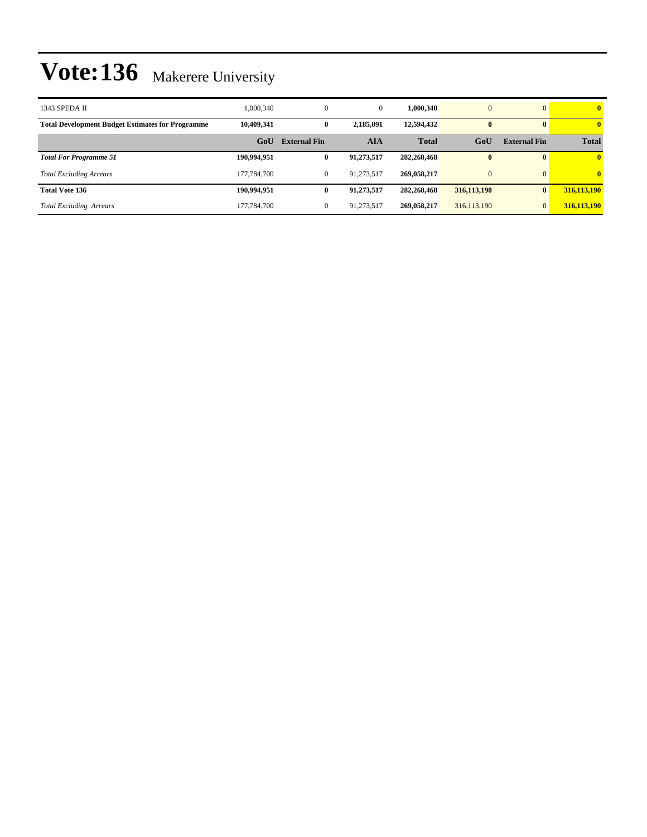| 1343 SPEDA II                                           | 1,000,340   | $\mathbf{0}$        | $\mathbf{0}$ | 1.000.340    | $\mathbf{0}$  | $\Omega$            | $\mathbf{0}$ |
|---------------------------------------------------------|-------------|---------------------|--------------|--------------|---------------|---------------------|--------------|
| <b>Total Development Budget Estimates for Programme</b> | 10,409,341  | $\bf{0}$            | 2,185,091    | 12.594.432   | $\bf{0}$      | $\mathbf{0}$        | $\mathbf{0}$ |
|                                                         | GoU         | <b>External Fin</b> | AIA          | <b>Total</b> | GoU           | <b>External Fin</b> | <b>Total</b> |
| <b>Total For Programme 51</b>                           | 190,994,951 | $\bf{0}$            | 91,273,517   | 282,268,468  | $\bf{0}$      | $\mathbf{0}$        | $\mathbf{0}$ |
| <b>Total Excluding Arrears</b>                          | 177,784,700 | $\mathbf{0}$        | 91,273,517   | 269,058,217  | $\mathbf{0}$  | $\Omega$            | $\mathbf{0}$ |
| <b>Total Vote 136</b>                                   | 190,994,951 | $\bf{0}$            | 91,273,517   | 282,268,468  | 316,113,190   | $\mathbf{0}$        | 316,113,190  |
| <b>Total Excluding Arrears</b>                          | 177,784,700 | $\mathbf{0}$        | 91,273,517   | 269,058,217  | 316, 113, 190 | $\mathbf{0}$        | 316,113,190  |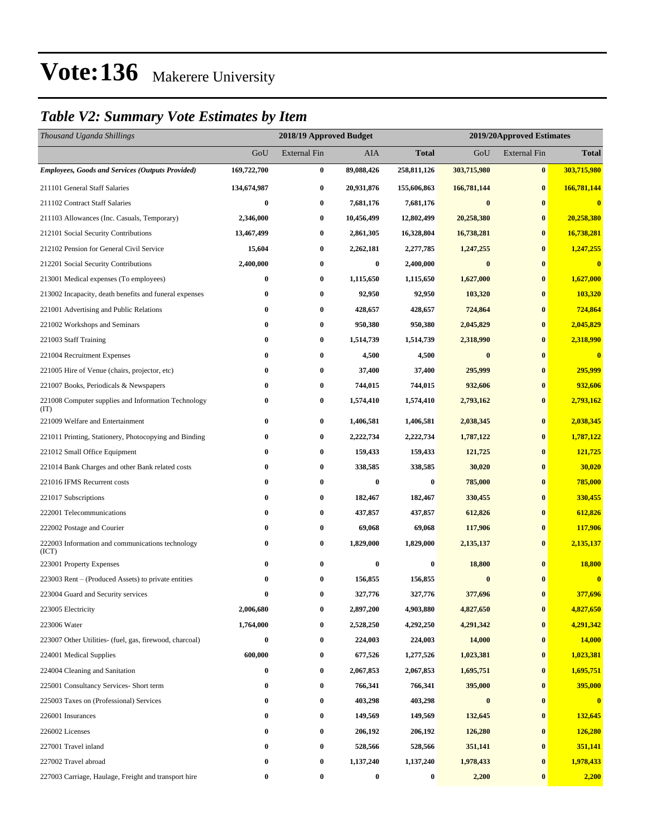### *Table V2: Summary Vote Estimates by Item*

| Thousand Uganda Shillings                                   |             | 2018/19 Approved Budget |                  |                  | 2019/20Approved Estimates |                     |                         |
|-------------------------------------------------------------|-------------|-------------------------|------------------|------------------|---------------------------|---------------------|-------------------------|
|                                                             | GoU         | <b>External Fin</b>     | AIA              | <b>Total</b>     | GoU                       | <b>External Fin</b> | <b>Total</b>            |
| <b>Employees, Goods and Services (Outputs Provided)</b>     | 169,722,700 | $\bf{0}$                | 89,088,426       | 258,811,126      | 303,715,980               | $\bf{0}$            | 303,715,980             |
| 211101 General Staff Salaries                               | 134,674,987 | $\bf{0}$                | 20,931,876       | 155,606,863      | 166,781,144               | $\bf{0}$            | 166,781,144             |
| 211102 Contract Staff Salaries                              | 0           | $\bf{0}$                | 7,681,176        | 7,681,176        | $\boldsymbol{0}$          | $\bf{0}$            | $\bf{0}$                |
| 211103 Allowances (Inc. Casuals, Temporary)                 | 2,346,000   | $\bf{0}$                | 10,456,499       | 12,802,499       | 20,258,380                | $\bf{0}$            | 20,258,380              |
| 212101 Social Security Contributions                        | 13,467,499  | $\bf{0}$                | 2,861,305        | 16,328,804       | 16,738,281                | $\bf{0}$            | 16,738,281              |
| 212102 Pension for General Civil Service                    | 15,604      | $\bf{0}$                | 2,262,181        | 2,277,785        | 1,247,255                 | $\bf{0}$            | 1,247,255               |
| 212201 Social Security Contributions                        | 2,400,000   | $\bf{0}$                | $\bf{0}$         | 2,400,000        | $\bf{0}$                  | $\bf{0}$            | $\overline{\mathbf{0}}$ |
| 213001 Medical expenses (To employees)                      | 0           | $\bf{0}$                | 1,115,650        | 1,115,650        | 1,627,000                 | $\bf{0}$            | 1,627,000               |
| 213002 Incapacity, death benefits and funeral expenses      | 0           | $\bf{0}$                | 92,950           | 92,950           | 103,320                   | $\bf{0}$            | 103,320                 |
| 221001 Advertising and Public Relations                     | 0           | $\bf{0}$                | 428,657          | 428,657          | 724,864                   | $\bf{0}$            | 724,864                 |
| 221002 Workshops and Seminars                               | 0           | $\bf{0}$                | 950,380          | 950,380          | 2,045,829                 | $\bf{0}$            | 2,045,829               |
| 221003 Staff Training                                       | $\bf{0}$    | $\bf{0}$                | 1,514,739        | 1,514,739        | 2,318,990                 | $\bf{0}$            | 2,318,990               |
| 221004 Recruitment Expenses                                 | 0           | $\bf{0}$                | 4,500            | 4,500            | $\boldsymbol{0}$          | $\bf{0}$            | $\overline{\mathbf{0}}$ |
| 221005 Hire of Venue (chairs, projector, etc)               | 0           | $\bf{0}$                | 37,400           | 37,400           | 295,999                   | $\bf{0}$            | 295,999                 |
| 221007 Books, Periodicals & Newspapers                      | 0           | $\bf{0}$                | 744,015          | 744,015          | 932,606                   | $\bf{0}$            | 932,606                 |
| 221008 Computer supplies and Information Technology<br>(TT) | 0           | $\bf{0}$                | 1,574,410        | 1,574,410        | 2,793,162                 | $\bf{0}$            | 2,793,162               |
| 221009 Welfare and Entertainment                            | 0           | $\bf{0}$                | 1,406,581        | 1,406,581        | 2,038,345                 | $\bf{0}$            | 2,038,345               |
| 221011 Printing, Stationery, Photocopying and Binding       | 0           | $\bf{0}$                | 2,222,734        | 2,222,734        | 1,787,122                 | $\bf{0}$            | 1,787,122               |
| 221012 Small Office Equipment                               | 0           | $\bf{0}$                | 159,433          | 159,433          | 121,725                   | $\bf{0}$            | 121,725                 |
| 221014 Bank Charges and other Bank related costs            | $\bf{0}$    | $\bf{0}$                | 338,585          | 338,585          | 30,020                    | $\bf{0}$            | 30,020                  |
| 221016 IFMS Recurrent costs                                 | 0           | $\bf{0}$                | $\bf{0}$         | $\boldsymbol{0}$ | 785,000                   | $\bf{0}$            | 785,000                 |
| 221017 Subscriptions                                        | 0           | $\bf{0}$                | 182,467          | 182,467          | 330,455                   | $\bf{0}$            | 330,455                 |
| 222001 Telecommunications                                   | $\bf{0}$    | $\bf{0}$                | 437,857          | 437,857          | 612,826                   | $\bf{0}$            | 612,826                 |
| 222002 Postage and Courier                                  | 0           | $\bf{0}$                | 69,068           | 69,068           | 117,906                   | $\bf{0}$            | 117,906                 |
| 222003 Information and communications technology<br>(ICT)   | 0           | $\bf{0}$                | 1,829,000        | 1,829,000        | 2,135,137                 | $\bf{0}$            | 2,135,137               |
| 223001 Property Expenses                                    | 0           | $\bf{0}$                | $\boldsymbol{0}$ | $\boldsymbol{0}$ | 18,800                    | $\bf{0}$            | <b>18,800</b>           |
| 223003 Rent – (Produced Assets) to private entities         | 0           | $\bf{0}$                | 156,855          | 156,855          | $\bf{0}$                  | $\bf{0}$            | $\overline{\mathbf{0}}$ |
| 223004 Guard and Security services                          | 0           | $\bf{0}$                | 327,776          | 327,776          | 377,696                   | $\bf{0}$            | 377,696                 |
| 223005 Electricity                                          | 2,006,680   | $\bf{0}$                | 2,897,200        | 4,903,880        | 4,827,650                 | $\bf{0}$            | 4,827,650               |
| 223006 Water                                                | 1,764,000   | $\bf{0}$                | 2,528,250        | 4,292,250        | 4,291,342                 | $\bf{0}$            | 4,291,342               |
| 223007 Other Utilities- (fuel, gas, firewood, charcoal)     | 0           | $\boldsymbol{0}$        | 224,003          | 224,003          | 14,000                    | $\bf{0}$            | 14,000                  |
| 224001 Medical Supplies                                     | 600,000     | $\bf{0}$                | 677,526          | 1,277,526        | 1,023,381                 | $\bf{0}$            | 1,023,381               |
| 224004 Cleaning and Sanitation                              | 0           | $\bf{0}$                | 2,067,853        | 2,067,853        | 1,695,751                 | $\bf{0}$            | 1,695,751               |
| 225001 Consultancy Services- Short term                     | 0           | $\bf{0}$                | 766,341          | 766,341          | 395,000                   | $\bf{0}$            | 395,000                 |
| 225003 Taxes on (Professional) Services                     | 0           | $\bf{0}$                | 403,298          | 403,298          | $\bf{0}$                  | $\bf{0}$            | $\bf{0}$                |
| 226001 Insurances                                           | 0           | $\bf{0}$                | 149,569          | 149,569          | 132,645                   | $\bf{0}$            | 132,645                 |
| 226002 Licenses                                             | 0           | $\bf{0}$                | 206,192          | 206,192          | 126,280                   | $\bf{0}$            | 126,280                 |
| 227001 Travel inland                                        | 0           | $\bf{0}$                | 528,566          | 528,566          | 351,141                   | $\bf{0}$            | 351,141                 |
| 227002 Travel abroad                                        | 0           | $\bf{0}$                | 1,137,240        | 1,137,240        | 1,978,433                 | $\bf{0}$            | 1,978,433               |
| 227003 Carriage, Haulage, Freight and transport hire        | 0           | $\bf{0}$                | $\bf{0}$         | 0                | 2,200                     | $\bf{0}$            | 2,200                   |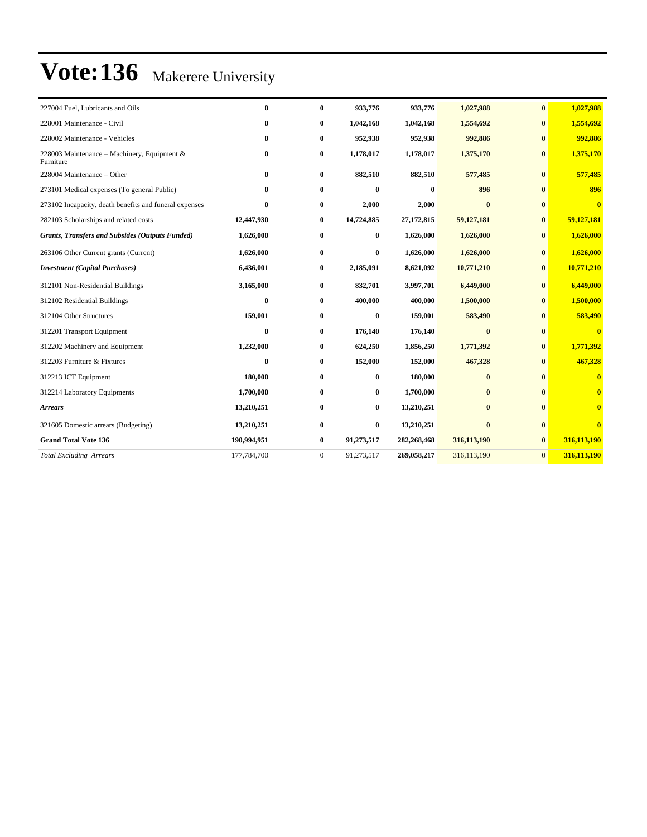| 227004 Fuel, Lubricants and Oils                         | 0           | $\bf{0}$       | 933,776      | 933,776     | 1,027,988    | $\bf{0}$     | 1,027,988               |
|----------------------------------------------------------|-------------|----------------|--------------|-------------|--------------|--------------|-------------------------|
| 228001 Maintenance - Civil                               | 0           | $\bf{0}$       | 1,042,168    | 1,042,168   | 1,554,692    | $\mathbf{0}$ | 1,554,692               |
| 228002 Maintenance - Vehicles                            | 0           | $\bf{0}$       | 952,938      | 952,938     | 992,886      | $\mathbf{0}$ | 992,886                 |
| 228003 Maintenance - Machinery, Equipment &<br>Furniture | 0           | $\bf{0}$       | 1,178,017    | 1,178,017   | 1,375,170    | $\mathbf{0}$ | 1,375,170               |
| 228004 Maintenance – Other                               | 0           | $\bf{0}$       | 882,510      | 882,510     | 577,485      | $\mathbf{0}$ | 577,485                 |
| 273101 Medical expenses (To general Public)              | 0           | $\bf{0}$       | $\bf{0}$     | 0           | 896          | $\mathbf{0}$ | 896                     |
| 273102 Incapacity, death benefits and funeral expenses   | 0           | $\bf{0}$       | 2,000        | 2,000       | $\mathbf{0}$ | $\mathbf{0}$ | $\overline{0}$          |
| 282103 Scholarships and related costs                    | 12,447,930  | $\bf{0}$       | 14,724,885   | 27,172,815  | 59,127,181   | $\bf{0}$     | 59,127,181              |
| <b>Grants, Transfers and Subsides (Outputs Funded)</b>   | 1,626,000   | $\bf{0}$       | $\bf{0}$     | 1,626,000   | 1,626,000    | $\mathbf{0}$ | 1,626,000               |
| 263106 Other Current grants (Current)                    | 1,626,000   | $\bf{0}$       | $\bf{0}$     | 1,626,000   | 1,626,000    | $\bf{0}$     | 1,626,000               |
| <b>Investment</b> (Capital Purchases)                    | 6,436,001   | $\bf{0}$       | 2,185,091    | 8,621,092   | 10,771,210   | $\bf{0}$     | 10,771,210              |
| 312101 Non-Residential Buildings                         | 3,165,000   | 0              | 832,701      | 3,997,701   | 6,449,000    | $\mathbf{0}$ | 6,449,000               |
| 312102 Residential Buildings                             | 0           | $\bf{0}$       | 400,000      | 400,000     | 1,500,000    | $\mathbf{0}$ | 1,500,000               |
| 312104 Other Structures                                  | 159,001     | $\bf{0}$       | $\bf{0}$     | 159,001     | 583,490      | $\mathbf{0}$ | 583,490                 |
| 312201 Transport Equipment                               | 0           | $\bf{0}$       | 176,140      | 176,140     | $\bf{0}$     | $\mathbf{0}$ | $\mathbf{0}$            |
| 312202 Machinery and Equipment                           | 1,232,000   | $\bf{0}$       | 624,250      | 1,856,250   | 1,771,392    | $\bf{0}$     | 1,771,392               |
| 312203 Furniture & Fixtures                              | 0           | $\bf{0}$       | 152,000      | 152,000     | 467,328      | $\mathbf{0}$ | 467,328                 |
| 312213 ICT Equipment                                     | 180,000     | $\bf{0}$       | $\bf{0}$     | 180,000     | $\bf{0}$     | $\mathbf{0}$ | $\mathbf{0}$            |
| 312214 Laboratory Equipments                             | 1,700,000   | $\bf{0}$       | $\bf{0}$     | 1,700,000   | $\bf{0}$     | $\bf{0}$     | $\mathbf{0}$            |
| <b>Arrears</b>                                           | 13,210,251  | $\bf{0}$       | $\mathbf{0}$ | 13,210,251  | $\mathbf{0}$ | $\mathbf{0}$ | $\overline{0}$          |
| 321605 Domestic arrears (Budgeting)                      | 13,210,251  | $\bf{0}$       | $\bf{0}$     | 13,210,251  | $\mathbf{0}$ | $\mathbf{0}$ | $\overline{\mathbf{0}}$ |
| <b>Grand Total Vote 136</b>                              | 190,994,951 | $\bf{0}$       | 91,273,517   | 282,268,468 | 316,113,190  | $\bf{0}$     | 316,113,190             |
| <b>Total Excluding Arrears</b>                           | 177,784,700 | $\overline{0}$ | 91,273,517   | 269,058,217 | 316,113,190  | $\mathbf{0}$ | 316,113,190             |
|                                                          |             |                |              |             |              |              |                         |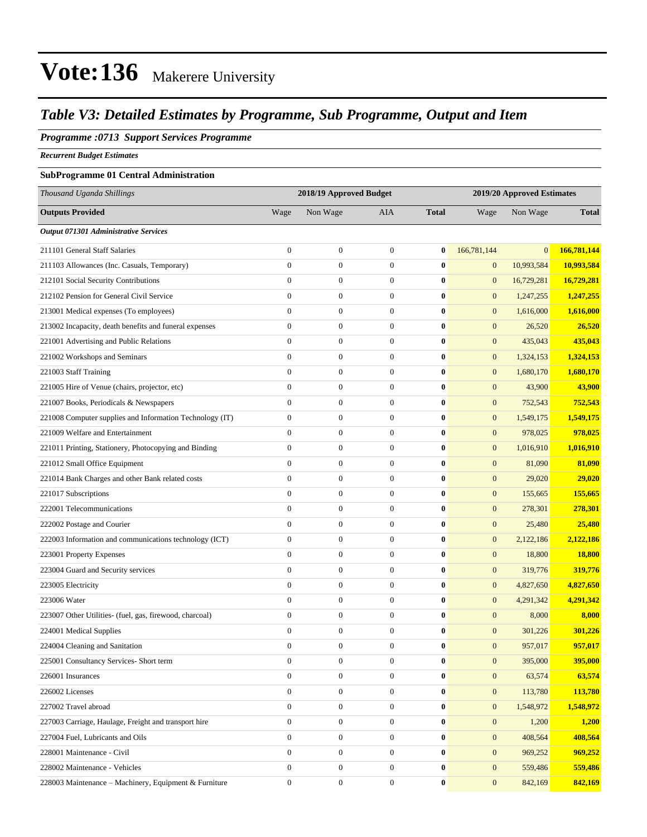### *Table V3: Detailed Estimates by Programme, Sub Programme, Output and Item*

#### *Programme :0713 Support Services Programme*

*Recurrent Budget Estimates*

#### **SubProgramme 01 Central Administration**

| Thousand Uganda Shillings                                |                  | 2018/19 Approved Budget |                  |              | 2019/20 Approved Estimates |                |              |  |
|----------------------------------------------------------|------------------|-------------------------|------------------|--------------|----------------------------|----------------|--------------|--|
| <b>Outputs Provided</b>                                  | Wage             | Non Wage                | AIA              | <b>Total</b> | Wage                       | Non Wage       | <b>Total</b> |  |
| Output 071301 Administrative Services                    |                  |                         |                  |              |                            |                |              |  |
| 211101 General Staff Salaries                            | $\boldsymbol{0}$ | $\boldsymbol{0}$        | $\boldsymbol{0}$ | $\bf{0}$     | 166,781,144                | $\overline{0}$ | 166,781,144  |  |
| 211103 Allowances (Inc. Casuals, Temporary)              | $\overline{0}$   | $\boldsymbol{0}$        | $\boldsymbol{0}$ | $\bf{0}$     | $\mathbf{0}$               | 10,993,584     | 10,993,584   |  |
| 212101 Social Security Contributions                     | $\overline{0}$   | $\boldsymbol{0}$        | $\boldsymbol{0}$ | $\bf{0}$     | $\boldsymbol{0}$           | 16,729,281     | 16,729,281   |  |
| 212102 Pension for General Civil Service                 | $\overline{0}$   | $\boldsymbol{0}$        | $\boldsymbol{0}$ | $\bf{0}$     | $\mathbf{0}$               | 1,247,255      | 1,247,255    |  |
| 213001 Medical expenses (To employees)                   | $\overline{0}$   | $\boldsymbol{0}$        | $\boldsymbol{0}$ | $\bf{0}$     | $\mathbf{0}$               | 1,616,000      | 1,616,000    |  |
| 213002 Incapacity, death benefits and funeral expenses   | $\overline{0}$   | $\boldsymbol{0}$        | $\boldsymbol{0}$ | $\bf{0}$     | $\mathbf{0}$               | 26,520         | 26,520       |  |
| 221001 Advertising and Public Relations                  | $\boldsymbol{0}$ | $\boldsymbol{0}$        | $\boldsymbol{0}$ | $\bf{0}$     | $\mathbf{0}$               | 435,043        | 435,043      |  |
| 221002 Workshops and Seminars                            | $\mathbf{0}$     | $\boldsymbol{0}$        | $\boldsymbol{0}$ | $\bf{0}$     | $\mathbf{0}$               | 1,324,153      | 1,324,153    |  |
| 221003 Staff Training                                    | $\overline{0}$   | $\boldsymbol{0}$        | $\boldsymbol{0}$ | $\bf{0}$     | $\mathbf{0}$               | 1,680,170      | 1,680,170    |  |
| 221005 Hire of Venue (chairs, projector, etc)            | $\overline{0}$   | $\boldsymbol{0}$        | $\boldsymbol{0}$ | $\bf{0}$     | $\boldsymbol{0}$           | 43,900         | 43,900       |  |
| 221007 Books, Periodicals & Newspapers                   | $\overline{0}$   | $\boldsymbol{0}$        | $\boldsymbol{0}$ | $\bf{0}$     | $\mathbf{0}$               | 752,543        | 752,543      |  |
| 221008 Computer supplies and Information Technology (IT) | $\boldsymbol{0}$ | $\boldsymbol{0}$        | $\boldsymbol{0}$ | $\bf{0}$     | $\mathbf{0}$               | 1,549,175      | 1,549,175    |  |
| 221009 Welfare and Entertainment                         | $\overline{0}$   | $\boldsymbol{0}$        | $\boldsymbol{0}$ | $\bf{0}$     | $\mathbf{0}$               | 978,025        | 978,025      |  |
| 221011 Printing, Stationery, Photocopying and Binding    | $\boldsymbol{0}$ | $\boldsymbol{0}$        | $\boldsymbol{0}$ | $\bf{0}$     | $\mathbf{0}$               | 1,016,910      | 1,016,910    |  |
| 221012 Small Office Equipment                            | $\overline{0}$   | $\boldsymbol{0}$        | $\boldsymbol{0}$ | $\bf{0}$     | $\boldsymbol{0}$           | 81,090         | 81,090       |  |
| 221014 Bank Charges and other Bank related costs         | $\overline{0}$   | $\boldsymbol{0}$        | $\boldsymbol{0}$ | $\bf{0}$     | $\mathbf{0}$               | 29,020         | 29,020       |  |
| 221017 Subscriptions                                     | $\overline{0}$   | $\boldsymbol{0}$        | $\boldsymbol{0}$ | $\bf{0}$     | $\mathbf{0}$               | 155,665        | 155,665      |  |
| 222001 Telecommunications                                | $\mathbf{0}$     | $\boldsymbol{0}$        | $\boldsymbol{0}$ | $\bf{0}$     | $\mathbf{0}$               | 278,301        | 278,301      |  |
| 222002 Postage and Courier                               | $\overline{0}$   | $\boldsymbol{0}$        | $\boldsymbol{0}$ | $\bf{0}$     | $\mathbf{0}$               | 25,480         | 25,480       |  |
| 222003 Information and communications technology (ICT)   | $\boldsymbol{0}$ | $\boldsymbol{0}$        | $\boldsymbol{0}$ | $\bf{0}$     | $\boldsymbol{0}$           | 2,122,186      | 2,122,186    |  |
| 223001 Property Expenses                                 | $\overline{0}$   | $\boldsymbol{0}$        | $\boldsymbol{0}$ | $\bf{0}$     | $\mathbf{0}$               | 18,800         | 18,800       |  |
| 223004 Guard and Security services                       | $\boldsymbol{0}$ | $\boldsymbol{0}$        | $\boldsymbol{0}$ | $\bf{0}$     | $\mathbf{0}$               | 319,776        | 319,776      |  |
| 223005 Electricity                                       | $\mathbf{0}$     | $\boldsymbol{0}$        | $\boldsymbol{0}$ | $\bf{0}$     | $\mathbf{0}$               | 4,827,650      | 4,827,650    |  |
| 223006 Water                                             | $\overline{0}$   | $\boldsymbol{0}$        | $\boldsymbol{0}$ | $\bf{0}$     | $\mathbf{0}$               | 4,291,342      | 4,291,342    |  |
| 223007 Other Utilities- (fuel, gas, firewood, charcoal)  | $\boldsymbol{0}$ | $\boldsymbol{0}$        | $\boldsymbol{0}$ | $\bf{0}$     | $\boldsymbol{0}$           | 8,000          | 8,000        |  |
| 224001 Medical Supplies                                  | $\overline{0}$   | $\boldsymbol{0}$        | $\boldsymbol{0}$ | $\bf{0}$     | $\mathbf{0}$               | 301,226        | 301,226      |  |
| 224004 Cleaning and Sanitation                           | $\boldsymbol{0}$ | $\boldsymbol{0}$        | $\boldsymbol{0}$ | $\bf{0}$     | $\mathbf{0}$               | 957,017        | 957,017      |  |
| 225001 Consultancy Services- Short term                  | $\boldsymbol{0}$ | $\boldsymbol{0}$        | $\boldsymbol{0}$ | $\bf{0}$     | $\mathbf{0}$               | 395,000        | 395,000      |  |
| 226001 Insurances                                        | $\boldsymbol{0}$ | $\boldsymbol{0}$        | $\mathbf{0}$     | $\bf{0}$     | $\mathbf{0}$               | 63,574         | 63,574       |  |
| 226002 Licenses                                          | $\boldsymbol{0}$ | $\boldsymbol{0}$        | $\mathbf{0}$     | $\bf{0}$     | $\boldsymbol{0}$           | 113,780        | 113,780      |  |
| 227002 Travel abroad                                     | $\overline{0}$   | $\boldsymbol{0}$        | $\mathbf{0}$     | $\bf{0}$     | $\mathbf{0}$               | 1,548,972      | 1,548,972    |  |
| 227003 Carriage, Haulage, Freight and transport hire     | $\mathbf{0}$     | $\boldsymbol{0}$        | $\boldsymbol{0}$ | $\bf{0}$     | $\mathbf{0}$               | 1,200          | 1,200        |  |
| 227004 Fuel, Lubricants and Oils                         | $\overline{0}$   | $\boldsymbol{0}$        | $\mathbf{0}$     | $\bf{0}$     | $\mathbf{0}$               | 408,564        | 408,564      |  |
| 228001 Maintenance - Civil                               | $\mathbf{0}$     | $\boldsymbol{0}$        | $\mathbf{0}$     | $\bf{0}$     | $\mathbf{0}$               | 969,252        | 969,252      |  |
| 228002 Maintenance - Vehicles                            | $\boldsymbol{0}$ | $\boldsymbol{0}$        | $\mathbf{0}$     | $\bf{0}$     | $\boldsymbol{0}$           | 559,486        | 559,486      |  |
| 228003 Maintenance - Machinery, Equipment & Furniture    | $\overline{0}$   | $\boldsymbol{0}$        | $\boldsymbol{0}$ | $\bf{0}$     | $\mathbf{0}$               | 842,169        | 842,169      |  |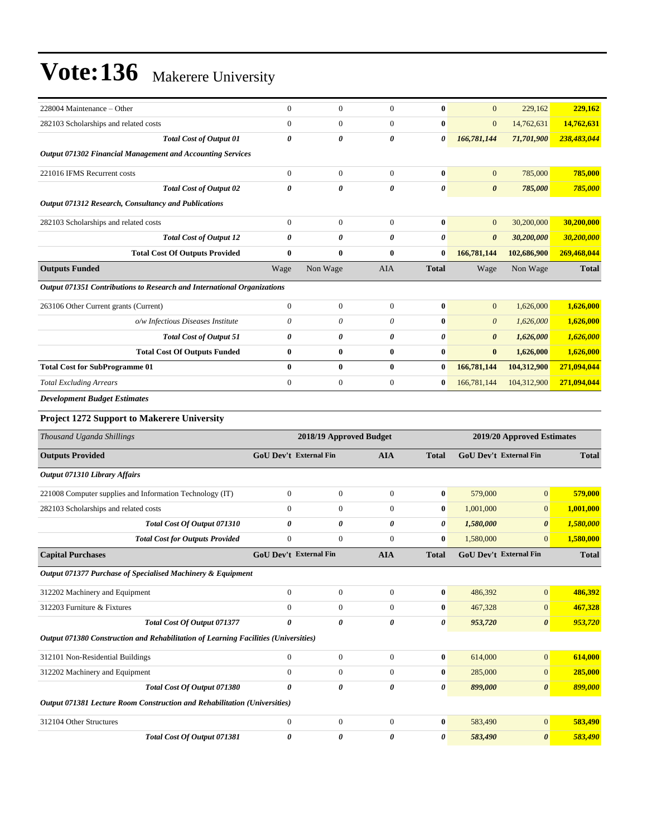| 228004 Maintenance – Other                                                          | $\mathbf{0}$                  | $\mathbf{0}$     | $\mathbf{0}$            | $\bf{0}$         | $\boldsymbol{0}$       | 229,162                    | 229,162      |
|-------------------------------------------------------------------------------------|-------------------------------|------------------|-------------------------|------------------|------------------------|----------------------------|--------------|
| 282103 Scholarships and related costs                                               | $\overline{0}$                | $\boldsymbol{0}$ | $\mathbf{0}$            | $\bf{0}$         | $\boldsymbol{0}$       | 14,762,631                 | 14,762,631   |
| <b>Total Cost of Output 01</b>                                                      | 0                             | $\theta$         | 0                       | 0                | 166,781,144            | 71,701,900                 | 238,483,044  |
| <b>Output 071302 Financial Management and Accounting Services</b>                   |                               |                  |                         |                  |                        |                            |              |
| 221016 IFMS Recurrent costs                                                         | $\boldsymbol{0}$              | $\boldsymbol{0}$ | $\overline{0}$          | $\bf{0}$         | $\boldsymbol{0}$       | 785,000                    | 785,000      |
| <b>Total Cost of Output 02</b>                                                      | 0                             | 0                | 0                       | 0                | $\boldsymbol{\theta}$  | 785,000                    | 785,000      |
| Output 071312 Research, Consultancy and Publications                                |                               |                  |                         |                  |                        |                            |              |
| 282103 Scholarships and related costs                                               | $\overline{0}$                | $\mathbf{0}$     | $\overline{0}$          | $\bf{0}$         | $\mathbf{0}$           | 30,200,000                 | 30,200,000   |
| <b>Total Cost of Output 12</b>                                                      | $\pmb{\theta}$                | 0                | 0                       | 0                | 0                      | 30,200,000                 | 30,200,000   |
| <b>Total Cost Of Outputs Provided</b>                                               | $\bf{0}$                      | $\bf{0}$         | $\bf{0}$                | $\bf{0}$         | 166,781,144            | 102,686,900                | 269,468,044  |
| <b>Outputs Funded</b>                                                               | Wage                          | Non Wage         | AIA                     | <b>Total</b>     | Wage                   | Non Wage                   | <b>Total</b> |
| Output 071351 Contributions to Research and International Organizations             |                               |                  |                         |                  |                        |                            |              |
| 263106 Other Current grants (Current)                                               | $\boldsymbol{0}$              | $\boldsymbol{0}$ | $\boldsymbol{0}$        | $\bf{0}$         | $\boldsymbol{0}$       | 1,626,000                  | 1,626,000    |
| o/w Infectious Diseases Institute                                                   | $\theta$                      | 0                | 0                       | $\bf{0}$         | $\boldsymbol{\theta}$  | 1,626,000                  | 1,626,000    |
| <b>Total Cost of Output 51</b>                                                      | $\boldsymbol{\theta}$         | 0                | 0                       | 0                | $\pmb{\theta}$         | 1,626,000                  | 1,626,000    |
| <b>Total Cost Of Outputs Funded</b>                                                 | $\bf{0}$                      | $\bf{0}$         | $\bf{0}$                | $\bf{0}$         | $\bf{0}$               | 1,626,000                  | 1,626,000    |
| <b>Total Cost for SubProgramme 01</b>                                               | $\bf{0}$                      | $\bf{0}$         | $\bf{0}$                | $\bf{0}$         | 166,781,144            | 104,312,900                | 271,094,044  |
| <b>Total Excluding Arrears</b>                                                      | $\overline{0}$                | $\boldsymbol{0}$ | $\overline{0}$          | $\bf{0}$         | 166,781,144            | 104,312,900                | 271,094,044  |
| <b>Development Budget Estimates</b>                                                 |                               |                  |                         |                  |                        |                            |              |
| <b>Project 1272 Support to Makerere University</b>                                  |                               |                  |                         |                  |                        |                            |              |
|                                                                                     |                               |                  |                         |                  |                        |                            |              |
| Thousand Uganda Shillings                                                           |                               |                  | 2018/19 Approved Budget |                  |                        | 2019/20 Approved Estimates |              |
| <b>Outputs Provided</b>                                                             | <b>GoU Dev't External Fin</b> |                  | <b>AIA</b>              | <b>Total</b>     | GoU Dev't External Fin |                            | <b>Total</b> |
| Output 071310 Library Affairs                                                       |                               |                  |                         |                  |                        |                            |              |
| 221008 Computer supplies and Information Technology (IT)                            | $\boldsymbol{0}$              | $\boldsymbol{0}$ | $\boldsymbol{0}$        | $\bf{0}$         | 579,000                | $\mathbf{0}$               | 579,000      |
| 282103 Scholarships and related costs                                               | $\overline{0}$                | $\mathbf{0}$     | $\mathbf{0}$            | $\bf{0}$         | 1,001,000              | $\mathbf{0}$               | 1,001,000    |
| Total Cost Of Output 071310                                                         | 0                             | 0                | 0                       | 0                | 1,580,000              | $\boldsymbol{\theta}$      | 1,580,000    |
| <b>Total Cost for Outputs Provided</b>                                              | $\mathbf{0}$                  | $\mathbf{0}$     | $\mathbf{0}$            | $\bf{0}$         | 1,580,000              | $\mathbf{0}$               | 1,580,000    |
| <b>Capital Purchases</b>                                                            | <b>GoU Dev't External Fin</b> |                  | <b>AIA</b>              | <b>Total</b>     | GoU Dev't External Fin |                            | <b>Total</b> |
| Output 071377 Purchase of Specialised Machinery & Equipment                         |                               |                  |                         |                  |                        |                            |              |
| 312202 Machinery and Equipment                                                      | $\boldsymbol{0}$              | $\boldsymbol{0}$ | $\mathbf{0}$            | $\pmb{0}$        | 486,392                | $\mathbf{0}$               | 486,392      |
| 312203 Furniture & Fixtures                                                         | $\boldsymbol{0}$              | $\boldsymbol{0}$ | $\mathbf{0}$            | $\bf{0}$         | 467,328                | $\mathbf{0}$               | 467,328      |
| Total Cost Of Output 071377                                                         | 0                             | $\pmb{\theta}$   | 0                       | 0                | 953,720                | $\boldsymbol{\theta}$      | 953,720      |
| Output 071380 Construction and Rehabilitation of Learning Facilities (Universities) |                               |                  |                         |                  |                        |                            |              |
| 312101 Non-Residential Buildings                                                    | $\boldsymbol{0}$              | $\boldsymbol{0}$ | $\mathbf{0}$            | $\bf{0}$         | 614,000                | $\mathbf{0}$               | 614,000      |
| 312202 Machinery and Equipment                                                      | $\boldsymbol{0}$              | $\boldsymbol{0}$ | $\boldsymbol{0}$        | $\pmb{0}$        | 285,000                | $\mathbf{0}$               | 285,000      |
| Total Cost Of Output 071380                                                         | 0                             | 0                | 0                       | 0                | 899,000                | $\boldsymbol{\theta}$      | 899,000      |
| Output 071381 Lecture Room Construction and Rehabilitation (Universities)           |                               |                  |                         |                  |                        |                            |              |
| 312104 Other Structures                                                             | $\boldsymbol{0}$              | $\boldsymbol{0}$ | $\boldsymbol{0}$        | $\boldsymbol{0}$ | 583,490                | $\boldsymbol{0}$           | 583,490      |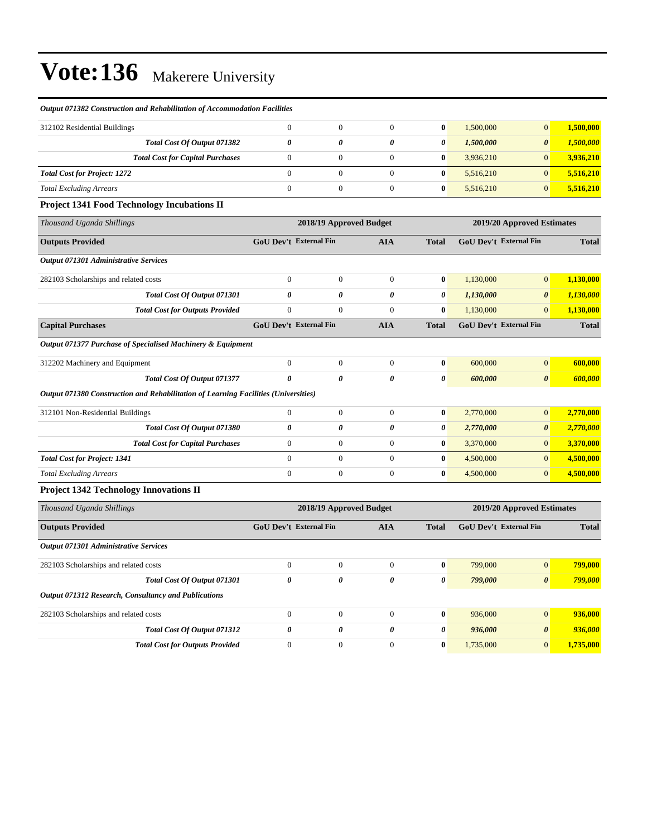#### *Output 071382 Construction and Rehabilitation of Accommodation Facilities*

| 312102 Residential Buildings            |  | 0 | 1,500,000 | $\Omega$ | 1,500,000 |
|-----------------------------------------|--|---|-----------|----------|-----------|
| Total Cost Of Output 071382             |  | 0 | 1,500,000 | 0        | 1,500,000 |
| <b>Total Cost for Capital Purchases</b> |  | 0 | 3,936,210 | $\Omega$ | 3,936,210 |
| <b>Total Cost for Project: 1272</b>     |  | 0 | 5,516,210 |          | 5.516.210 |
| <b>Total Excluding Arrears</b>          |  | 0 | 5,516,210 |          | 5.516.210 |

#### **Project 1341 Food Technology Incubations II**

| Thousand Uganda Shillings                                                           |                                             | 2018/19 Approved Budget | 2019/20 Approved Estimates |                               |                               |                       |              |
|-------------------------------------------------------------------------------------|---------------------------------------------|-------------------------|----------------------------|-------------------------------|-------------------------------|-----------------------|--------------|
| <b>Outputs Provided</b>                                                             | <b>GoU Dev't External Fin</b><br><b>AIA</b> |                         | <b>Total</b>               | <b>GoU Dev't External Fin</b> |                               | <b>Total</b>          |              |
| Output 071301 Administrative Services                                               |                                             |                         |                            |                               |                               |                       |              |
| 282103 Scholarships and related costs                                               | $\mathbf{0}$                                | $\mathbf{0}$            | $\mathbf{0}$               | $\bf{0}$                      | 1,130,000                     | $\mathbf{0}$          | 1,130,000    |
| Total Cost Of Output 071301                                                         | 0                                           | 0                       | 0                          | 0                             | 1,130,000                     | $\boldsymbol{\theta}$ | 1,130,000    |
| <b>Total Cost for Outputs Provided</b>                                              | $\mathbf{0}$                                | $\overline{0}$          | $\Omega$                   | $\bf{0}$                      | 1,130,000                     | $\overline{0}$        | 1,130,000    |
| <b>Capital Purchases</b>                                                            | <b>GoU Dev't External Fin</b>               |                         | <b>AIA</b>                 | <b>Total</b>                  | <b>GoU Dev't External Fin</b> |                       | <b>Total</b> |
| Output 071377 Purchase of Specialised Machinery & Equipment                         |                                             |                         |                            |                               |                               |                       |              |
| 312202 Machinery and Equipment                                                      | $\mathbf{0}$                                | $\theta$                | $\Omega$                   | $\mathbf{0}$                  | 600,000                       | $\mathbf{0}$          | 600,000      |
| Total Cost Of Output 071377                                                         | 0                                           | 0                       | 0                          | 0                             | 600,000                       | $\boldsymbol{\theta}$ | 600,000      |
| Output 071380 Construction and Rehabilitation of Learning Facilities (Universities) |                                             |                         |                            |                               |                               |                       |              |
| 312101 Non-Residential Buildings                                                    | $\mathbf{0}$                                | $\overline{0}$          | $\Omega$                   | $\bf{0}$                      | 2,770,000                     | $\mathbf{0}$          | 2,770,000    |
| Total Cost Of Output 071380                                                         | 0                                           | 0                       | 0                          | 0                             | 2,770,000                     | $\boldsymbol{\theta}$ | 2,770,000    |
| <b>Total Cost for Capital Purchases</b>                                             | $\mathbf{0}$                                | $\mathbf{0}$            | $\mathbf{0}$               | $\bf{0}$                      | 3,370,000                     | $\mathbf{0}$          | 3,370,000    |
| <b>Total Cost for Project: 1341</b>                                                 | $\Omega$                                    | $\theta$                | $\Omega$                   | $\bf{0}$                      | 4,500,000                     | $\overline{0}$        | 4,500,000    |
| <b>Total Excluding Arrears</b>                                                      | $\mathbf{0}$                                | $\boldsymbol{0}$        | $\mathbf{0}$               | 0                             | 4,500,000                     | $\mathbf{0}$          | 4,500,000    |

#### **Project 1342 Technology Innovations II**

| Thousand Uganda Shillings                            | 2018/19 Approved Budget                     | 2019/20 Approved Estimates |              |                               |           |                       |           |
|------------------------------------------------------|---------------------------------------------|----------------------------|--------------|-------------------------------|-----------|-----------------------|-----------|
| <b>Outputs Provided</b>                              | <b>GoU Dev't External Fin</b><br><b>AIA</b> |                            | <b>Total</b> | <b>GoU Dev't External Fin</b> |           | <b>Total</b>          |           |
| <b>Output 071301 Administrative Services</b>         |                                             |                            |              |                               |           |                       |           |
| 282103 Scholarships and related costs                | $\mathbf{0}$                                | $\mathbf{0}$               | $\Omega$     | $\bf{0}$                      | 799,000   | $\overline{0}$        | 799,000   |
| Total Cost Of Output 071301                          | 0                                           | 0                          | 0            | 0                             | 799,000   | $\boldsymbol{\theta}$ | 799,000   |
| Output 071312 Research, Consultancy and Publications |                                             |                            |              |                               |           |                       |           |
| 282103 Scholarships and related costs                | $\mathbf{0}$                                | $\boldsymbol{0}$           | $\Omega$     | $\mathbf{0}$                  | 936,000   | $\overline{0}$        | 936,000   |
| Total Cost Of Output 071312                          | 0                                           | 0                          | 0            | 0                             | 936,000   | $\boldsymbol{\theta}$ | 936,000   |
| <b>Total Cost for Outputs Provided</b>               | $\mathbf{0}$                                | $\Omega$                   | $\theta$     | $\bf{0}$                      | 1,735,000 | $\overline{0}$        | 1.735,000 |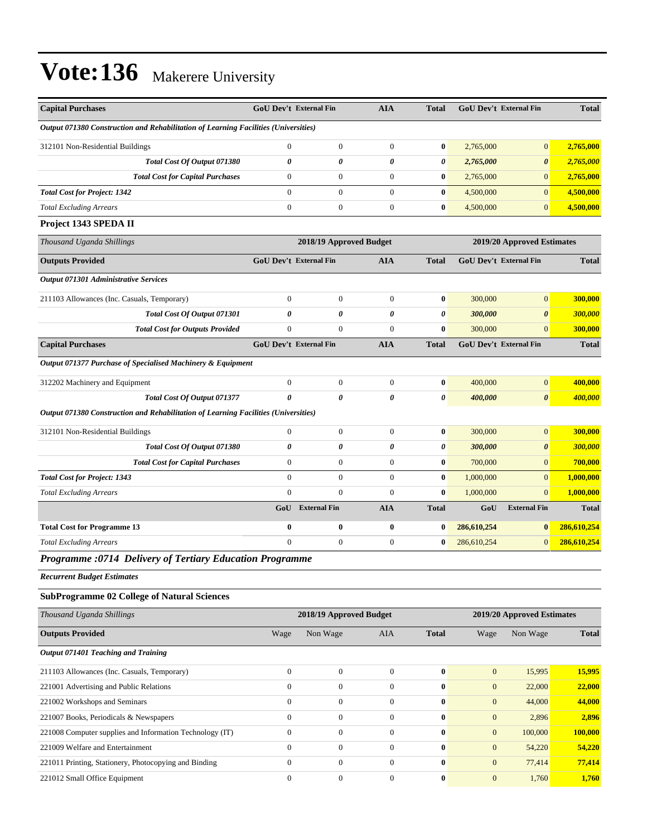| <b>Capital Purchases</b>                                                            | <b>GoU Dev't External Fin</b> |                         | <b>AIA</b>       | <b>Total</b>          |                  | <b>GoU Dev't External Fin</b> | <b>Total</b> |
|-------------------------------------------------------------------------------------|-------------------------------|-------------------------|------------------|-----------------------|------------------|-------------------------------|--------------|
| Output 071380 Construction and Rehabilitation of Learning Facilities (Universities) |                               |                         |                  |                       |                  |                               |              |
| 312101 Non-Residential Buildings                                                    | $\theta$                      | $\boldsymbol{0}$        | $\mathbf{0}$     | $\bf{0}$              | 2,765,000        | $\overline{0}$                | 2,765,000    |
| Total Cost Of Output 071380                                                         | 0                             | 0                       | 0                | 0                     | 2,765,000        | $\boldsymbol{\theta}$         | 2,765,000    |
| <b>Total Cost for Capital Purchases</b>                                             | $\mathbf{0}$                  | $\boldsymbol{0}$        | $\boldsymbol{0}$ | $\bf{0}$              | 2,765,000        | $\mathbf{0}$                  | 2,765,000    |
| <b>Total Cost for Project: 1342</b>                                                 | $\mathbf{0}$                  | $\boldsymbol{0}$        | $\overline{0}$   | $\bf{0}$              | 4,500,000        | $\mathbf{0}$                  | 4,500,000    |
| <b>Total Excluding Arrears</b>                                                      | $\boldsymbol{0}$              | $\boldsymbol{0}$        | $\boldsymbol{0}$ | $\bf{0}$              | 4,500,000        | $\mathbf{0}$                  | 4,500,000    |
| Project 1343 SPEDA II                                                               |                               |                         |                  |                       |                  |                               |              |
| Thousand Uganda Shillings                                                           |                               | 2018/19 Approved Budget |                  |                       |                  | 2019/20 Approved Estimates    |              |
| <b>Outputs Provided</b>                                                             | <b>GoU Dev't External Fin</b> |                         | <b>AIA</b>       | <b>Total</b>          |                  | <b>GoU Dev't External Fin</b> | <b>Total</b> |
| <b>Output 071301 Administrative Services</b>                                        |                               |                         |                  |                       |                  |                               |              |
| 211103 Allowances (Inc. Casuals, Temporary)                                         | $\theta$                      | $\mathbf{0}$            | $\mathbf{0}$     | $\bf{0}$              | 300,000          | $\overline{0}$                | 300,000      |
| Total Cost Of Output 071301                                                         | 0                             | 0                       | 0                | 0                     | 300,000          | $\boldsymbol{\theta}$         | 300,000      |
| <b>Total Cost for Outputs Provided</b>                                              | $\boldsymbol{0}$              | $\mathbf{0}$            | $\mathbf{0}$     | $\bf{0}$              | 300,000          | $\mathbf{0}$                  | 300,000      |
| <b>Capital Purchases</b>                                                            | GoU Dev't External Fin        |                         | <b>AIA</b>       | <b>Total</b>          |                  | <b>GoU Dev't External Fin</b> | <b>Total</b> |
| Output 071377 Purchase of Specialised Machinery & Equipment                         |                               |                         |                  |                       |                  |                               |              |
| 312202 Machinery and Equipment                                                      | $\boldsymbol{0}$              | $\boldsymbol{0}$        | $\boldsymbol{0}$ | $\boldsymbol{0}$      | 400,000          | $\mathbf{0}$                  | 400,000      |
| Total Cost Of Output 071377                                                         | $\boldsymbol{\theta}$         | 0                       | 0                | $\boldsymbol{\theta}$ | 400,000          | $\boldsymbol{\theta}$         | 400,000      |
| Output 071380 Construction and Rehabilitation of Learning Facilities (Universities) |                               |                         |                  |                       |                  |                               |              |
| 312101 Non-Residential Buildings                                                    | $\mathbf{0}$                  | $\boldsymbol{0}$        | $\mathbf{0}$     | $\bf{0}$              | 300,000          | $\overline{0}$                | 300,000      |
| Total Cost Of Output 071380                                                         | $\boldsymbol{\theta}$         | 0                       | 0                | 0                     | 300,000          | $\boldsymbol{\theta}$         | 300,000      |
| <b>Total Cost for Capital Purchases</b>                                             | $\mathbf{0}$                  | $\overline{0}$          | $\boldsymbol{0}$ | $\bf{0}$              | 700,000          | $\mathbf{0}$                  | 700,000      |
| <b>Total Cost for Project: 1343</b>                                                 | $\mathbf{0}$                  | $\boldsymbol{0}$        | $\boldsymbol{0}$ | $\bf{0}$              | 1,000,000        | $\mathbf{0}$                  | 1,000,000    |
| <b>Total Excluding Arrears</b>                                                      | $\boldsymbol{0}$              | $\mathbf{0}$            | $\mathbf{0}$     | $\bf{0}$              | 1,000,000        | $\mathbf{0}$                  | 1,000,000    |
|                                                                                     | GoU                           | <b>External Fin</b>     | <b>AIA</b>       | <b>Total</b>          | GoU              | <b>External Fin</b>           | <b>Total</b> |
| <b>Total Cost for Programme 13</b>                                                  | $\bf{0}$                      | $\bf{0}$                | $\bf{0}$         | $\bf{0}$              | 286,610,254      | $\bf{0}$                      | 286,610,254  |
| <b>Total Excluding Arrears</b>                                                      | $\mathbf{0}$                  | $\mathbf{0}$            | $\boldsymbol{0}$ | $\bf{0}$              | 286,610,254      | $\mathbf{0}$                  | 286,610,254  |
| Programme :0714 Delivery of Tertiary Education Programme                            |                               |                         |                  |                       |                  |                               |              |
| <b>Recurrent Budget Estimates</b>                                                   |                               |                         |                  |                       |                  |                               |              |
| <b>SubProgramme 02 College of Natural Sciences</b>                                  |                               |                         |                  |                       |                  |                               |              |
| Thousand Uganda Shillings                                                           |                               | 2018/19 Approved Budget |                  |                       |                  | 2019/20 Approved Estimates    |              |
| <b>Outputs Provided</b>                                                             | Wage                          | Non Wage                | AIA              | <b>Total</b>          | Wage             | Non Wage                      | <b>Total</b> |
| Output 071401 Teaching and Training                                                 |                               |                         |                  |                       |                  |                               |              |
| 211103 Allowances (Inc. Casuals, Temporary)                                         | $\boldsymbol{0}$              | $\boldsymbol{0}$        | $\boldsymbol{0}$ | $\boldsymbol{0}$      | $\mathbf{0}$     | 15,995                        | 15,995       |
| 221001 Advertising and Public Relations                                             | $\boldsymbol{0}$              | $\boldsymbol{0}$        | $\boldsymbol{0}$ | $\boldsymbol{0}$      | $\boldsymbol{0}$ | 22,000                        | 22,000       |
| 221002 Workshops and Seminars                                                       | $\boldsymbol{0}$              | $\overline{0}$          | $\boldsymbol{0}$ | $\bf{0}$              | $\mathbf{0}$     | 44,000                        | 44,000       |
| 221007 Books, Periodicals & Newspapers                                              | $\boldsymbol{0}$              | $\boldsymbol{0}$        | $\boldsymbol{0}$ | $\bf{0}$              | $\mathbf{0}$     | 2,896                         | 2,896        |
| 221008 Computer supplies and Information Technology (IT)                            | $\boldsymbol{0}$              | $\overline{0}$          | $\boldsymbol{0}$ | $\bf{0}$              | $\mathbf{0}$     | 100,000                       | 100,000      |
| 221009 Welfare and Entertainment                                                    | $\boldsymbol{0}$              | $\overline{0}$          | $\boldsymbol{0}$ | $\bf{0}$              | $\mathbf{0}$     | 54,220                        | 54,220       |
| 221011 Printing, Stationery, Photocopying and Binding                               | $\boldsymbol{0}$              | $\boldsymbol{0}$        | $\boldsymbol{0}$ | $\boldsymbol{0}$      | $\mathbf{0}$     | 77,414                        | 77,414       |
| 221012 Small Office Equipment                                                       | $\boldsymbol{0}$              | $\boldsymbol{0}$        | $\boldsymbol{0}$ | $\bf{0}$              | $\boldsymbol{0}$ | 1,760                         | 1,760        |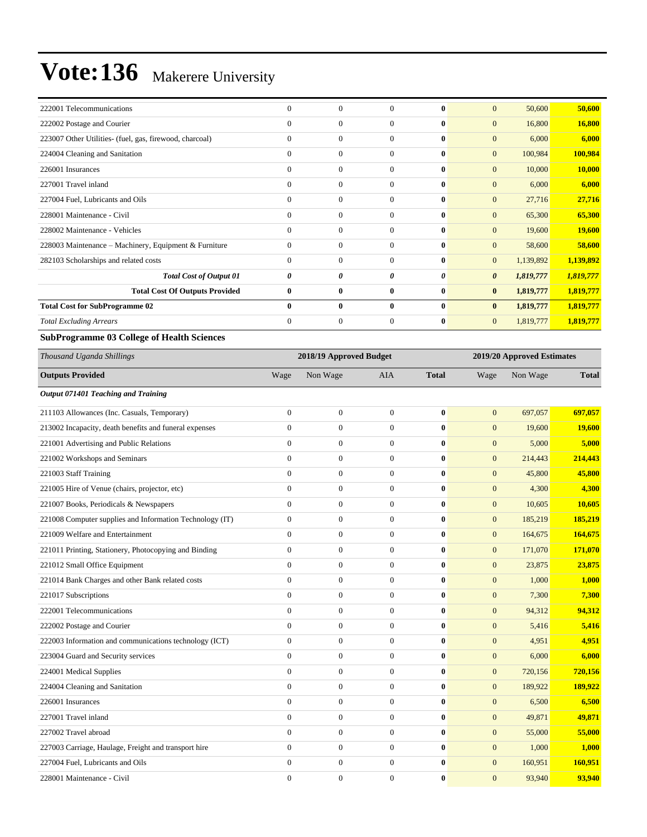| 222001 Telecommunications                                | $\boldsymbol{0}$ | $\boldsymbol{0}$        | $\boldsymbol{0}$ | $\bf{0}$     | $\mathbf{0}$     | 50,600                     | 50,600        |
|----------------------------------------------------------|------------------|-------------------------|------------------|--------------|------------------|----------------------------|---------------|
| 222002 Postage and Courier                               | $\boldsymbol{0}$ | $\boldsymbol{0}$        | $\boldsymbol{0}$ | $\bf{0}$     | $\boldsymbol{0}$ | 16,800                     | <b>16,800</b> |
| 223007 Other Utilities- (fuel, gas, firewood, charcoal)  | $\mathbf{0}$     | $\boldsymbol{0}$        | $\boldsymbol{0}$ | $\bf{0}$     | $\mathbf{0}$     | 6,000                      | 6,000         |
| 224004 Cleaning and Sanitation                           | $\overline{0}$   | $\boldsymbol{0}$        | $\boldsymbol{0}$ | $\bf{0}$     | $\mathbf{0}$     | 100,984                    | 100,984       |
| 226001 Insurances                                        | $\overline{0}$   | $\boldsymbol{0}$        | $\mathbf{0}$     | $\bf{0}$     | $\mathbf{0}$     | 10,000                     | 10,000        |
| 227001 Travel inland                                     | $\mathbf{0}$     | $\boldsymbol{0}$        | $\mathbf{0}$     | $\bf{0}$     | $\boldsymbol{0}$ | 6,000                      | 6,000         |
| 227004 Fuel, Lubricants and Oils                         | $\overline{0}$   | $\boldsymbol{0}$        | $\mathbf{0}$     | $\bf{0}$     | $\boldsymbol{0}$ | 27,716                     | 27,716        |
| 228001 Maintenance - Civil                               | $\mathbf{0}$     | $\boldsymbol{0}$        | $\boldsymbol{0}$ | $\bf{0}$     | $\mathbf{0}$     | 65,300                     | 65,300        |
| 228002 Maintenance - Vehicles                            | $\overline{0}$   | $\boldsymbol{0}$        | $\boldsymbol{0}$ | $\bf{0}$     | $\boldsymbol{0}$ | 19,600                     | 19,600        |
| 228003 Maintenance - Machinery, Equipment & Furniture    | $\overline{0}$   | $\boldsymbol{0}$        | $\mathbf{0}$     | $\bf{0}$     | $\boldsymbol{0}$ | 58,600                     | 58,600        |
| 282103 Scholarships and related costs                    | $\mathbf{0}$     | $\boldsymbol{0}$        | $\mathbf{0}$     | $\bf{0}$     | $\mathbf{0}$     | 1,139,892                  | 1,139,892     |
| <b>Total Cost of Output 01</b>                           | 0                | 0                       | 0                | 0            | 0                | 1,819,777                  | 1,819,777     |
| <b>Total Cost Of Outputs Provided</b>                    | $\bf{0}$         | $\bf{0}$                | $\bf{0}$         | $\bf{0}$     | $\bf{0}$         | 1,819,777                  | 1,819,777     |
| <b>Total Cost for SubProgramme 02</b>                    | $\bf{0}$         | $\bf{0}$                | $\bf{0}$         | $\bf{0}$     | $\bf{0}$         | 1,819,777                  | 1,819,777     |
| <b>Total Excluding Arrears</b>                           | $\boldsymbol{0}$ | $\boldsymbol{0}$        | $\boldsymbol{0}$ | $\bf{0}$     | $\mathbf{0}$     | 1,819,777                  | 1,819,777     |
| <b>SubProgramme 03 College of Health Sciences</b>        |                  |                         |                  |              |                  |                            |               |
| Thousand Uganda Shillings                                |                  | 2018/19 Approved Budget |                  |              |                  | 2019/20 Approved Estimates |               |
| <b>Outputs Provided</b>                                  | Wage             | Non Wage                | AIA              | <b>Total</b> | Wage             | Non Wage                   | <b>Total</b>  |
| Output 071401 Teaching and Training                      |                  |                         |                  |              |                  |                            |               |
| 211103 Allowances (Inc. Casuals, Temporary)              | $\boldsymbol{0}$ | $\boldsymbol{0}$        | $\boldsymbol{0}$ | $\bf{0}$     | $\boldsymbol{0}$ | 697,057                    | 697,057       |
| 213002 Incapacity, death benefits and funeral expenses   | $\boldsymbol{0}$ | $\boldsymbol{0}$        | $\mathbf{0}$     | $\bf{0}$     | $\boldsymbol{0}$ | 19,600                     | <b>19,600</b> |
| 221001 Advertising and Public Relations                  | $\overline{0}$   | $\boldsymbol{0}$        | $\boldsymbol{0}$ | $\bf{0}$     | $\boldsymbol{0}$ | 5,000                      | 5,000         |
| 221002 Workshops and Seminars                            | $\overline{0}$   | $\boldsymbol{0}$        | $\boldsymbol{0}$ | $\bf{0}$     | $\boldsymbol{0}$ | 214,443                    | 214,443       |
| 221003 Staff Training                                    | $\mathbf{0}$     | $\boldsymbol{0}$        | $\mathbf{0}$     | $\bf{0}$     | $\mathbf{0}$     | 45,800                     | 45,800        |
| 221005 Hire of Venue (chairs, projector, etc)            | $\boldsymbol{0}$ | $\boldsymbol{0}$        | $\mathbf{0}$     | $\bf{0}$     | $\boldsymbol{0}$ | 4,300                      | 4,300         |
| 221007 Books, Periodicals & Newspapers                   | $\mathbf{0}$     | $\boldsymbol{0}$        | $\mathbf{0}$     | $\bf{0}$     | $\boldsymbol{0}$ | 10,605                     | 10,605        |
| 221008 Computer supplies and Information Technology (IT) | $\boldsymbol{0}$ | $\boldsymbol{0}$        | $\boldsymbol{0}$ | $\bf{0}$     | $\boldsymbol{0}$ | 185,219                    | 185,219       |
| 221009 Welfare and Entertainment                         | $\mathbf{0}$     | $\boldsymbol{0}$        | $\boldsymbol{0}$ | $\bf{0}$     | $\boldsymbol{0}$ | 164,675                    | 164,675       |
| 221011 Printing, Stationery, Photocopying and Binding    | $\mathbf{0}$     | $\boldsymbol{0}$        | $\mathbf{0}$     | $\bf{0}$     | $\mathbf{0}$     | 171,070                    | 171,070       |
| 221012 Small Office Equipment                            | $\mathbf{0}$     | $\boldsymbol{0}$        | $\mathbf{0}$     | $\bf{0}$     | $\mathbf{0}$     | 23,875                     | 23,875        |
| 221014 Bank Charges and other Bank related costs         | $\boldsymbol{0}$ | $\boldsymbol{0}$        | $\boldsymbol{0}$ | $\bf{0}$     | $\boldsymbol{0}$ | 1,000                      | 1,000         |
| 221017 Subscriptions                                     | $\overline{0}$   | $\boldsymbol{0}$        | $\mathbf{0}$     | $\bf{0}$     | $\boldsymbol{0}$ | 7,300                      | 7,300         |
| 222001 Telecommunications                                | $\overline{0}$   | $\boldsymbol{0}$        | $\mathbf{0}$     | $\bf{0}$     | $\mathbf{0}$     | 94,312                     | 94,312        |
| 222002 Postage and Courier                               | $\mathbf{0}$     | $\boldsymbol{0}$        | $\mathbf{0}$     | $\bf{0}$     | $\boldsymbol{0}$ | 5,416                      | 5,416         |
| 222003 Information and communications technology (ICT)   | $\overline{0}$   | $\boldsymbol{0}$        | $\mathbf{0}$     | $\bf{0}$     | $\mathbf{0}$     | 4,951                      | 4,951         |
| 223004 Guard and Security services                       | $\boldsymbol{0}$ | $\boldsymbol{0}$        | $\mathbf{0}$     | $\bf{0}$     | $\mathbf{0}$     | 6,000                      | 6,000         |
| 224001 Medical Supplies                                  | $\overline{0}$   | $\boldsymbol{0}$        | $\mathbf{0}$     | $\bf{0}$     | $\boldsymbol{0}$ | 720,156                    | 720,156       |
| 224004 Cleaning and Sanitation                           | $\overline{0}$   | $\boldsymbol{0}$        | $\mathbf{0}$     | $\bf{0}$     | $\mathbf{0}$     | 189,922                    | 189,922       |
| 226001 Insurances                                        | $\mathbf{0}$     | $\boldsymbol{0}$        | $\boldsymbol{0}$ | $\bf{0}$     | $\boldsymbol{0}$ | 6,500                      | 6,500         |
| 227001 Travel inland                                     | $\overline{0}$   | $\boldsymbol{0}$        | $\mathbf{0}$     | $\bf{0}$     | $\mathbf{0}$     | 49,871                     | 49,871        |
| 227002 Travel abroad                                     | $\boldsymbol{0}$ | $\boldsymbol{0}$        | $\mathbf{0}$     | $\bf{0}$     | $\mathbf{0}$     | 55,000                     | 55,000        |
| 227003 Carriage, Haulage, Freight and transport hire     | $\overline{0}$   | $\boldsymbol{0}$        | $\mathbf{0}$     | $\bf{0}$     | $\boldsymbol{0}$ | 1,000                      | 1,000         |
| 227004 Fuel, Lubricants and Oils                         | $\boldsymbol{0}$ | $\boldsymbol{0}$        | $\mathbf{0}$     | $\bf{0}$     | $\boldsymbol{0}$ | 160,951                    | 160,951       |
| 228001 Maintenance - Civil                               | $\mathbf{0}$     | $\boldsymbol{0}$        | $\boldsymbol{0}$ | $\bf{0}$     | $\boldsymbol{0}$ | 93,940                     | 93,940        |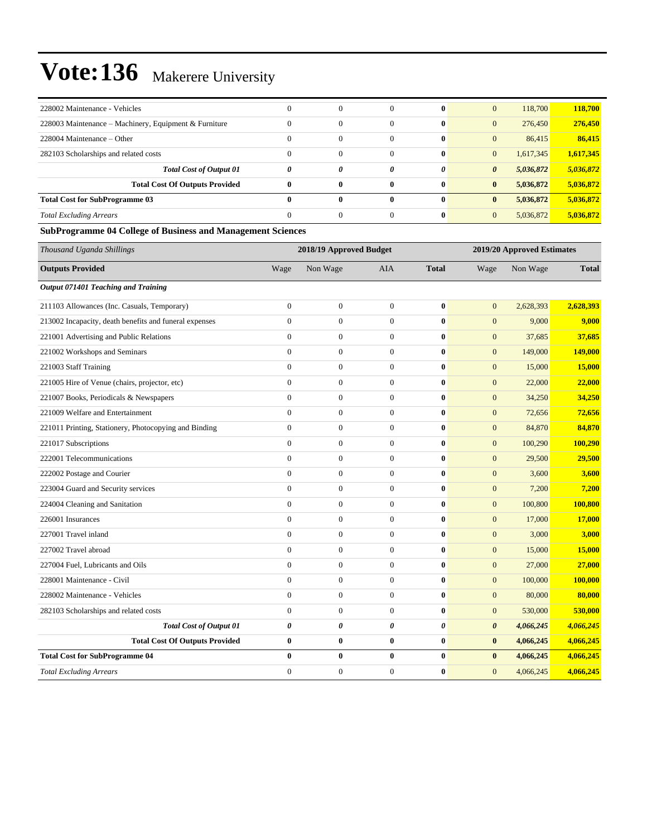| 228002 Maintenance - Vehicles                                             |                      | $\theta$ | $\theta$              | 0        | $\overline{0}$        | 118,700   | 118,700   |
|---------------------------------------------------------------------------|----------------------|----------|-----------------------|----------|-----------------------|-----------|-----------|
| 228003 Maintenance – Machinery, Equipment & Furniture                     |                      | $\theta$ | $\mathbf{0}$          | 0        | $\overline{0}$        | 276,450   | 276,450   |
| $228004$ Maintenance – Other                                              |                      | $\Omega$ | $\mathbf{0}$          | $\bf{0}$ | $\overline{0}$        | 86,415    | 86,415    |
| 282103 Scholarships and related costs                                     |                      | $\Omega$ | $\mathbf{0}$          | 0        | $\overline{0}$        | 1,617,345 | 1,617,345 |
| <b>Total Cost of Output 01</b>                                            | $\theta$             | 0        | $\boldsymbol{\theta}$ | 0        | $\boldsymbol{\theta}$ | 5,036,872 | 5,036,872 |
| <b>Total Cost Of Outputs Provided</b>                                     | $\mathbf{0}$         | $\bf{0}$ | $\bf{0}$              | $\bf{0}$ | $\mathbf{0}$          | 5,036,872 | 5,036,872 |
| <b>Total Cost for SubProgramme 03</b>                                     |                      |          |                       | 0        | $\bf{0}$              | 5,036,872 | 5,036,872 |
| <b>Total Excluding Arrears</b>                                            | $\theta$             | $\Omega$ | $\mathbf{0}$          | 0        | $\overline{0}$        | 5,036,872 | 5,036,872 |
| $\sim$ $\sim$<br>$\sim$ $\sim$ $\sim$<br>$\sim$ $\sim$ $\sim$<br>$\cdots$ | $\sim$ $\sim$ $\sim$ |          |                       |          |                       |           |           |

#### **SubProgramme 04 College of Business and Management Sciences**

| Thousand Uganda Shillings                              |                | 2018/19 Approved Budget |                       |              |                       | 2019/20 Approved Estimates |              |
|--------------------------------------------------------|----------------|-------------------------|-----------------------|--------------|-----------------------|----------------------------|--------------|
| <b>Outputs Provided</b>                                | Wage           | Non Wage                | <b>AIA</b>            | <b>Total</b> | Wage                  | Non Wage                   | <b>Total</b> |
| Output 071401 Teaching and Training                    |                |                         |                       |              |                       |                            |              |
| 211103 Allowances (Inc. Casuals, Temporary)            | $\overline{0}$ | $\boldsymbol{0}$        | $\mathbf{0}$          | $\bf{0}$     | $\mathbf{0}$          | 2,628,393                  | 2,628,393    |
| 213002 Incapacity, death benefits and funeral expenses | $\overline{0}$ | $\overline{0}$          | $\mathbf{0}$          | $\mathbf{0}$ | $\mathbf{0}$          | 9,000                      | 9,000        |
| 221001 Advertising and Public Relations                | $\overline{0}$ | $\boldsymbol{0}$        | $\overline{0}$        | $\bf{0}$     | $\mathbf{0}$          | 37,685                     | 37,685       |
| 221002 Workshops and Seminars                          | $\mathbf{0}$   | $\mathbf{0}$            | $\mathbf{0}$          | $\bf{0}$     | $\mathbf{0}$          | 149,000                    | 149,000      |
| 221003 Staff Training                                  | $\overline{0}$ | $\boldsymbol{0}$        | $\overline{0}$        | $\bf{0}$     | $\mathbf{0}$          | 15,000                     | 15,000       |
| 221005 Hire of Venue (chairs, projector, etc)          | $\overline{0}$ | $\boldsymbol{0}$        | $\mathbf{0}$          | $\bf{0}$     | $\mathbf{0}$          | 22,000                     | 22,000       |
| 221007 Books, Periodicals & Newspapers                 | $\overline{0}$ | $\mathbf{0}$            | $\mathbf{0}$          | $\mathbf{0}$ | $\mathbf{0}$          | 34,250                     | 34,250       |
| 221009 Welfare and Entertainment                       | $\overline{0}$ | $\boldsymbol{0}$        | $\overline{0}$        | $\bf{0}$     | $\mathbf{0}$          | 72,656                     | 72,656       |
| 221011 Printing, Stationery, Photocopying and Binding  | $\overline{0}$ | $\mathbf{0}$            | $\mathbf{0}$          | $\mathbf{0}$ | $\mathbf{0}$          | 84,870                     | 84,870       |
| 221017 Subscriptions                                   | $\overline{0}$ | $\boldsymbol{0}$        | $\overline{0}$        | $\bf{0}$     | $\mathbf{0}$          | 100,290                    | 100,290      |
| 222001 Telecommunications                              | $\overline{0}$ | $\boldsymbol{0}$        | $\mathbf{0}$          | $\bf{0}$     | $\mathbf{0}$          | 29,500                     | 29,500       |
| 222002 Postage and Courier                             | $\overline{0}$ | $\boldsymbol{0}$        | $\mathbf{0}$          | $\mathbf{0}$ | $\mathbf{0}$          | 3,600                      | 3,600        |
| 223004 Guard and Security services                     | $\overline{0}$ | $\boldsymbol{0}$        | $\mathbf{0}$          | $\bf{0}$     | $\mathbf{0}$          | 7,200                      | 7,200        |
| 224004 Cleaning and Sanitation                         | $\theta$       | $\overline{0}$          | $\mathbf{0}$          | $\mathbf{0}$ | $\mathbf{0}$          | 100,800                    | 100,800      |
| 226001 Insurances                                      | $\overline{0}$ | $\boldsymbol{0}$        | $\mathbf{0}$          | $\bf{0}$     | $\mathbf{0}$          | 17,000                     | 17,000       |
| 227001 Travel inland                                   | $\overline{0}$ | $\overline{0}$          | $\overline{0}$        | $\bf{0}$     | $\mathbf{0}$          | 3,000                      | 3,000        |
| 227002 Travel abroad                                   | $\overline{0}$ | $\boldsymbol{0}$        | $\overline{0}$        | $\mathbf{0}$ | $\mathbf{0}$          | 15,000                     | 15,000       |
| 227004 Fuel, Lubricants and Oils                       | $\overline{0}$ | $\boldsymbol{0}$        | $\overline{0}$        | $\bf{0}$     | $\mathbf{0}$          | 27,000                     | 27,000       |
| 228001 Maintenance - Civil                             | $\theta$       | $\overline{0}$          | $\mathbf{0}$          | $\mathbf{0}$ | $\mathbf{0}$          | 100,000                    | 100,000      |
| 228002 Maintenance - Vehicles                          | $\overline{0}$ | $\boldsymbol{0}$        | $\boldsymbol{0}$      | $\mathbf{0}$ | $\mathbf{0}$          | 80,000                     | 80,000       |
| 282103 Scholarships and related costs                  | $\theta$       | $\overline{0}$          | $\overline{0}$        | $\mathbf{0}$ | $\mathbf{0}$          | 530,000                    | 530,000      |
| <b>Total Cost of Output 01</b>                         | 0              | 0                       | $\boldsymbol{\theta}$ | 0            | $\boldsymbol{\theta}$ | 4,066,245                  | 4,066,245    |
| <b>Total Cost Of Outputs Provided</b>                  | $\bf{0}$       | $\bf{0}$                | $\bf{0}$              | $\bf{0}$     | $\bf{0}$              | 4,066,245                  | 4,066,245    |
| <b>Total Cost for SubProgramme 04</b>                  | $\bf{0}$       | $\bf{0}$                | $\mathbf{0}$          | $\mathbf{0}$ | $\bf{0}$              | 4,066,245                  | 4,066,245    |
| <b>Total Excluding Arrears</b>                         | $\overline{0}$ | $\mathbf{0}$            | $\mathbf{0}$          | $\mathbf{0}$ | $\overline{0}$        | 4,066,245                  | 4,066,245    |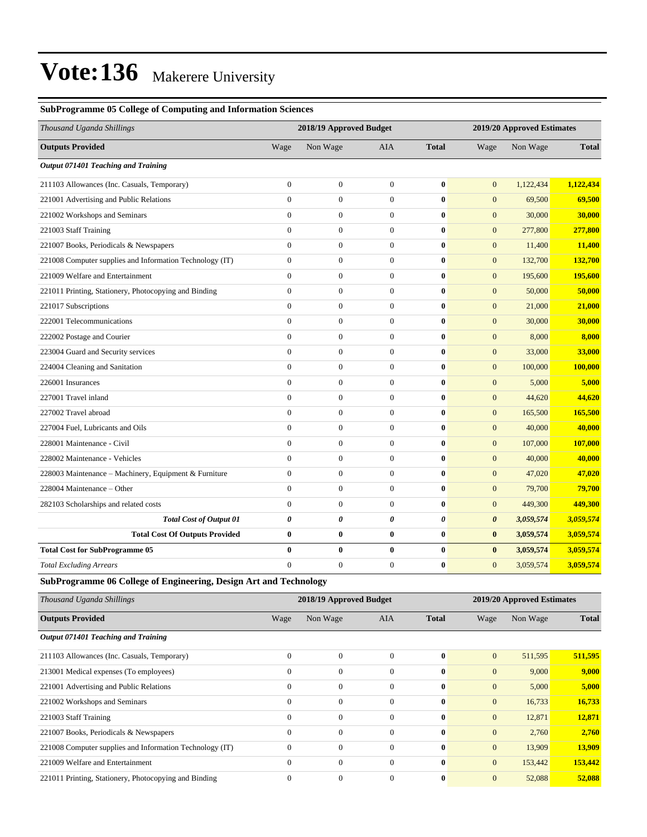#### **SubProgramme 05 College of Computing and Information Sciences**

| Thousand Uganda Shillings                                |                  | 2018/19 Approved Budget |                  |              |                       | 2019/20 Approved Estimates |              |
|----------------------------------------------------------|------------------|-------------------------|------------------|--------------|-----------------------|----------------------------|--------------|
| <b>Outputs Provided</b>                                  | Wage             | Non Wage                | AIA              | <b>Total</b> | Wage                  | Non Wage                   | <b>Total</b> |
| Output 071401 Teaching and Training                      |                  |                         |                  |              |                       |                            |              |
| 211103 Allowances (Inc. Casuals, Temporary)              | $\boldsymbol{0}$ | $\boldsymbol{0}$        | $\boldsymbol{0}$ | $\bf{0}$     | $\mathbf{0}$          | 1,122,434                  | 1,122,434    |
| 221001 Advertising and Public Relations                  | $\overline{0}$   | $\boldsymbol{0}$        | $\overline{0}$   | $\bf{0}$     | $\mathbf{0}$          | 69,500                     | 69,500       |
| 221002 Workshops and Seminars                            | $\overline{0}$   | $\mathbf{0}$            | $\mathbf{0}$     | $\bf{0}$     | $\mathbf{0}$          | 30,000                     | 30,000       |
| 221003 Staff Training                                    | $\overline{0}$   | $\overline{0}$          | $\mathbf{0}$     | $\mathbf{0}$ | $\mathbf{0}$          | 277,800                    | 277,800      |
| 221007 Books, Periodicals & Newspapers                   | $\overline{0}$   | $\boldsymbol{0}$        | $\boldsymbol{0}$ | $\bf{0}$     | $\mathbf{0}$          | 11,400                     | 11,400       |
| 221008 Computer supplies and Information Technology (IT) | $\overline{0}$   | $\boldsymbol{0}$        | $\boldsymbol{0}$ | $\bf{0}$     | $\mathbf{0}$          | 132,700                    | 132,700      |
| 221009 Welfare and Entertainment                         | $\overline{0}$   | $\mathbf{0}$            | $\boldsymbol{0}$ | $\bf{0}$     | $\mathbf{0}$          | 195,600                    | 195,600      |
| 221011 Printing, Stationery, Photocopying and Binding    | $\overline{0}$   | $\boldsymbol{0}$        | $\overline{0}$   | $\bf{0}$     | $\mathbf{0}$          | 50,000                     | 50,000       |
| 221017 Subscriptions                                     | $\boldsymbol{0}$ | $\boldsymbol{0}$        | $\boldsymbol{0}$ | $\bf{0}$     | $\mathbf{0}$          | 21,000                     | 21,000       |
| 222001 Telecommunications                                | $\overline{0}$   | $\boldsymbol{0}$        | $\mathbf{0}$     | $\bf{0}$     | $\mathbf{0}$          | 30,000                     | 30,000       |
| 222002 Postage and Courier                               | $\overline{0}$   | $\boldsymbol{0}$        | $\mathbf{0}$     | $\bf{0}$     | $\mathbf{0}$          | 8,000                      | 8,000        |
| 223004 Guard and Security services                       | $\boldsymbol{0}$ | $\boldsymbol{0}$        | $\boldsymbol{0}$ | $\bf{0}$     | $\mathbf{0}$          | 33,000                     | 33,000       |
| 224004 Cleaning and Sanitation                           | $\overline{0}$   | $\boldsymbol{0}$        | $\overline{0}$   | $\bf{0}$     | $\mathbf{0}$          | 100,000                    | 100,000      |
| 226001 Insurances                                        | $\overline{0}$   | $\boldsymbol{0}$        | $\boldsymbol{0}$ | $\bf{0}$     | $\mathbf{0}$          | 5,000                      | 5,000        |
| 227001 Travel inland                                     | $\boldsymbol{0}$ | $\boldsymbol{0}$        | $\mathbf{0}$     | $\bf{0}$     | $\mathbf{0}$          | 44,620                     | 44,620       |
| 227002 Travel abroad                                     | $\overline{0}$   | $\boldsymbol{0}$        | $\mathbf{0}$     | $\bf{0}$     | $\mathbf{0}$          | 165,500                    | 165,500      |
| 227004 Fuel, Lubricants and Oils                         | $\overline{0}$   | $\boldsymbol{0}$        | $\overline{0}$   | $\bf{0}$     | $\mathbf{0}$          | 40,000                     | 40,000       |
| 228001 Maintenance - Civil                               | $\boldsymbol{0}$ | $\boldsymbol{0}$        | $\boldsymbol{0}$ | $\bf{0}$     | $\mathbf{0}$          | 107,000                    | 107,000      |
| 228002 Maintenance - Vehicles                            | $\overline{0}$   | $\boldsymbol{0}$        | $\mathbf{0}$     | $\bf{0}$     | $\mathbf{0}$          | 40,000                     | 40,000       |
| 228003 Maintenance – Machinery, Equipment & Furniture    | $\boldsymbol{0}$ | $\boldsymbol{0}$        | $\boldsymbol{0}$ | $\bf{0}$     | $\mathbf{0}$          | 47,020                     | 47,020       |
| 228004 Maintenance - Other                               | $\overline{0}$   | $\boldsymbol{0}$        | $\mathbf{0}$     | $\bf{0}$     | $\mathbf{0}$          | 79,700                     | 79,700       |
| 282103 Scholarships and related costs                    | $\mathbf{0}$     | $\boldsymbol{0}$        | $\mathbf{0}$     | $\bf{0}$     | $\mathbf{0}$          | 449,300                    | 449,300      |
| <b>Total Cost of Output 01</b>                           | 0                | 0                       | 0                | 0            | $\boldsymbol{\theta}$ | 3,059,574                  | 3,059,574    |
| <b>Total Cost Of Outputs Provided</b>                    | 0                | $\bf{0}$                | $\bf{0}$         | $\bf{0}$     | $\bf{0}$              | 3,059,574                  | 3,059,574    |
| <b>Total Cost for SubProgramme 05</b>                    | $\bf{0}$         | $\bf{0}$                | $\bf{0}$         | $\bf{0}$     | $\bf{0}$              | 3,059,574                  | 3,059,574    |
| <b>Total Excluding Arrears</b>                           | $\overline{0}$   | $\mathbf{0}$            | $\mathbf{0}$     | $\bf{0}$     | $\boldsymbol{0}$      | 3,059,574                  | 3,059,574    |

**SubProgramme 06 College of Engineering, Design Art and Technology**

| Thousand Uganda Shillings                                |              | 2018/19 Approved Budget |            |              |                | 2019/20 Approved Estimates |              |  |  |
|----------------------------------------------------------|--------------|-------------------------|------------|--------------|----------------|----------------------------|--------------|--|--|
| <b>Outputs Provided</b>                                  | Wage         | Non Wage                | <b>AIA</b> | <b>Total</b> | Wage           | Non Wage                   | <b>Total</b> |  |  |
| Output 071401 Teaching and Training                      |              |                         |            |              |                |                            |              |  |  |
| 211103 Allowances (Inc. Casuals, Temporary)              | $\Omega$     | $\mathbf{0}$            | $\Omega$   | $\mathbf{0}$ | $\overline{0}$ | 511,595                    | 511,595      |  |  |
| 213001 Medical expenses (To employees)                   | $\Omega$     | $\mathbf{0}$            | $\Omega$   | $\mathbf{0}$ | $\mathbf{0}$   | 9,000                      | 9,000        |  |  |
| 221001 Advertising and Public Relations                  | $\Omega$     | $\mathbf{0}$            | $\Omega$   | $\mathbf{0}$ | $\mathbf{0}$   | 5,000                      | 5,000        |  |  |
| 221002 Workshops and Seminars                            | $\Omega$     | $\mathbf{0}$            | $\Omega$   | $\bf{0}$     | $\mathbf{0}$   | 16,733                     | 16,733       |  |  |
| 221003 Staff Training                                    | $\Omega$     | $\mathbf{0}$            | $\Omega$   | $\mathbf{0}$ | $\overline{0}$ | 12,871                     | 12,871       |  |  |
| 221007 Books, Periodicals & Newspapers                   | $\mathbf{0}$ | $\mathbf{0}$            | $\Omega$   | $\mathbf{0}$ | $\mathbf{0}$   | 2,760                      | 2,760        |  |  |
| 221008 Computer supplies and Information Technology (IT) | $\Omega$     | $\mathbf{0}$            | $\Omega$   | $\mathbf{0}$ | $\overline{0}$ | 13,909                     | 13,909       |  |  |
| 221009 Welfare and Entertainment                         | $\Omega$     | $\mathbf{0}$            | $\Omega$   | $\mathbf{0}$ | $\mathbf{0}$   | 153,442                    | 153,442      |  |  |
| 221011 Printing, Stationery, Photocopying and Binding    | $\Omega$     | $\mathbf{0}$            | $\Omega$   | $\mathbf{0}$ | $\mathbf{0}$   | 52,088                     | 52,088       |  |  |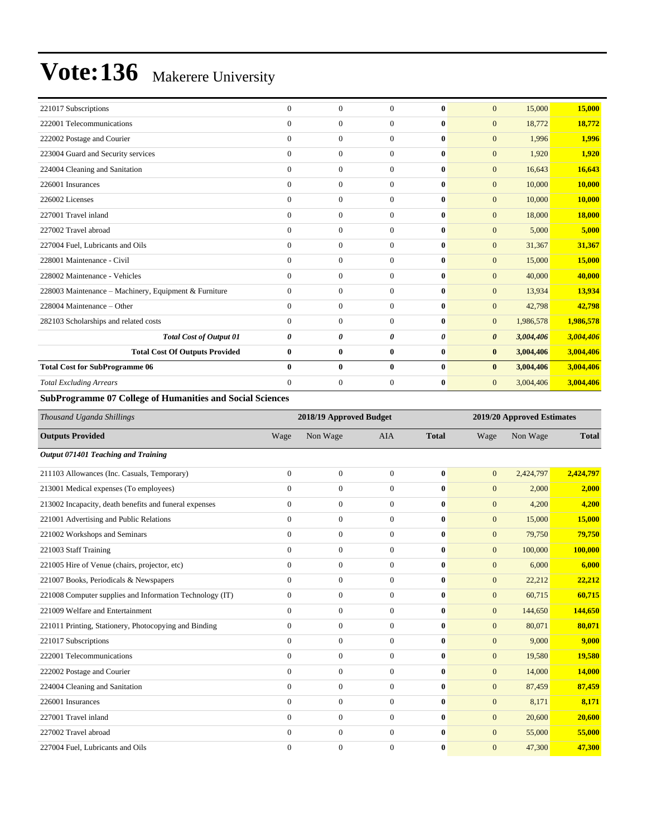| 221017 Subscriptions                                  | $\mathbf{0}$   | $\mathbf{0}$     | $\mathbf{0}$ | $\bf{0}$     | $\mathbf{0}$          | 15,000    | 15,000    |
|-------------------------------------------------------|----------------|------------------|--------------|--------------|-----------------------|-----------|-----------|
| 222001 Telecommunications                             | $\mathbf{0}$   | $\overline{0}$   | $\mathbf{0}$ | $\bf{0}$     | $\mathbf{0}$          | 18,772    | 18,772    |
| 222002 Postage and Courier                            | $\mathbf{0}$   | $\overline{0}$   | $\mathbf{0}$ | $\mathbf{0}$ | $\mathbf{0}$          | 1,996     | 1,996     |
| 223004 Guard and Security services                    | $\mathbf{0}$   | $\overline{0}$   | $\Omega$     | $\mathbf{0}$ | $\mathbf{0}$          | 1,920     | 1,920     |
| 224004 Cleaning and Sanitation                        | $\mathbf{0}$   | $\overline{0}$   | $\mathbf{0}$ | $\bf{0}$     | $\mathbf{0}$          | 16,643    | 16,643    |
| 226001 Insurances                                     | $\mathbf{0}$   | $\boldsymbol{0}$ | $\mathbf{0}$ | $\bf{0}$     | $\mathbf{0}$          | 10,000    | 10,000    |
| 226002 Licenses                                       | $\mathbf{0}$   | $\overline{0}$   | $\mathbf{0}$ | $\mathbf{0}$ | $\mathbf{0}$          | 10,000    | 10,000    |
| 227001 Travel inland                                  | $\mathbf{0}$   | $\overline{0}$   | $\mathbf{0}$ | $\bf{0}$     | $\mathbf{0}$          | 18,000    | 18,000    |
| 227002 Travel abroad                                  | $\Omega$       | $\overline{0}$   | $\Omega$     | $\mathbf{0}$ | $\overline{0}$        | 5,000     | 5,000     |
| 227004 Fuel, Lubricants and Oils                      | $\Omega$       | $\overline{0}$   | $\Omega$     | $\mathbf{0}$ | $\mathbf{0}$          | 31,367    | 31,367    |
| 228001 Maintenance - Civil                            | $\overline{0}$ | $\overline{0}$   | $\mathbf{0}$ | $\bf{0}$     | $\mathbf{0}$          | 15,000    | 15,000    |
| 228002 Maintenance - Vehicles                         | $\Omega$       | $\overline{0}$   | $\Omega$     | $\mathbf{0}$ | $\mathbf{0}$          | 40,000    | 40,000    |
| 228003 Maintenance - Machinery, Equipment & Furniture | $\Omega$       | $\mathbf{0}$     | $\Omega$     | $\mathbf{0}$ | $\mathbf{0}$          | 13,934    | 13,934    |
| 228004 Maintenance – Other                            | $\Omega$       | $\overline{0}$   | $\Omega$     | $\mathbf{0}$ | $\mathbf{0}$          | 42,798    | 42,798    |
| 282103 Scholarships and related costs                 | $\Omega$       | $\overline{0}$   | $\mathbf{0}$ | $\mathbf{0}$ | $\overline{0}$        | 1,986,578 | 1,986,578 |
| <b>Total Cost of Output 01</b>                        | 0              | 0                | 0            | 0            | $\boldsymbol{\theta}$ | 3,004,406 | 3,004,406 |
| <b>Total Cost Of Outputs Provided</b>                 | $\bf{0}$       | $\bf{0}$         | $\bf{0}$     | $\mathbf{0}$ | $\bf{0}$              | 3,004,406 | 3,004,406 |
| <b>Total Cost for SubProgramme 06</b>                 | $\bf{0}$       | $\bf{0}$         | $\bf{0}$     | $\bf{0}$     | $\bf{0}$              | 3,004,406 | 3,004,406 |
| <b>Total Excluding Arrears</b>                        | $\Omega$       | $\overline{0}$   | $\mathbf{0}$ | $\bf{0}$     | $\mathbf{0}$          | 3,004,406 | 3,004,406 |

#### **SubProgramme 07 College of Humanities and Social Sciences**

| Thousand Uganda Shillings                                |                | 2018/19 Approved Budget |              |              |                | 2019/20 Approved Estimates |              |
|----------------------------------------------------------|----------------|-------------------------|--------------|--------------|----------------|----------------------------|--------------|
| <b>Outputs Provided</b>                                  | Wage           | Non Wage                | <b>AIA</b>   | <b>Total</b> | Wage           | Non Wage                   | <b>Total</b> |
| Output 071401 Teaching and Training                      |                |                         |              |              |                |                            |              |
| 211103 Allowances (Inc. Casuals, Temporary)              | $\overline{0}$ | $\boldsymbol{0}$        | $\theta$     | $\bf{0}$     | $\mathbf{0}$   | 2,424,797                  | 2,424,797    |
| 213001 Medical expenses (To employees)                   | $\mathbf{0}$   | $\boldsymbol{0}$        | $\mathbf{0}$ | $\bf{0}$     | $\mathbf{0}$   | 2,000                      | 2,000        |
| 213002 Incapacity, death benefits and funeral expenses   | $\Omega$       | $\mathbf{0}$            | $\Omega$     | $\bf{0}$     | $\mathbf{0}$   | 4,200                      | 4,200        |
| 221001 Advertising and Public Relations                  | $\mathbf{0}$   | $\boldsymbol{0}$        | $\theta$     | $\mathbf{0}$ | $\mathbf{0}$   | 15,000                     | 15,000       |
| 221002 Workshops and Seminars                            | $\overline{0}$ | $\mathbf{0}$            | $\mathbf{0}$ | $\bf{0}$     | $\mathbf{0}$   | 79,750                     | 79,750       |
| 221003 Staff Training                                    | $\Omega$       | $\mathbf{0}$            | $\Omega$     | $\bf{0}$     | $\mathbf{0}$   | 100,000                    | 100,000      |
| 221005 Hire of Venue (chairs, projector, etc)            | $\overline{0}$ | $\boldsymbol{0}$        | $\mathbf{0}$ | $\bf{0}$     | $\mathbf{0}$   | 6,000                      | 6,000        |
| 221007 Books, Periodicals & Newspapers                   | $\overline{0}$ | $\mathbf{0}$            | $\mathbf{0}$ | $\bf{0}$     | $\overline{0}$ | 22,212                     | 22,212       |
| 221008 Computer supplies and Information Technology (IT) | $\mathbf{0}$   | $\mathbf{0}$            | $\Omega$     | $\mathbf{0}$ | $\mathbf{0}$   | 60,715                     | 60,715       |
| 221009 Welfare and Entertainment                         | $\overline{0}$ | $\boldsymbol{0}$        | $\theta$     | $\bf{0}$     | $\overline{0}$ | 144,650                    | 144,650      |
| 221011 Printing, Stationery, Photocopying and Binding    | $\overline{0}$ | $\mathbf{0}$            | $\Omega$     | $\mathbf{0}$ | $\overline{0}$ | 80,071                     | 80,071       |
| 221017 Subscriptions                                     | $\Omega$       | $\boldsymbol{0}$        | $\mathbf{0}$ | $\mathbf{0}$ | $\overline{0}$ | 9,000                      | 9,000        |
| 222001 Telecommunications                                | $\overline{0}$ | $\mathbf{0}$            | $\theta$     | $\bf{0}$     | $\mathbf{0}$   | 19,580                     | 19,580       |
| 222002 Postage and Courier                               | $\mathbf{0}$   | $\mathbf{0}$            | $\Omega$     | 0            | $\mathbf{0}$   | 14,000                     | 14,000       |
| 224004 Cleaning and Sanitation                           | $\mathbf{0}$   | $\mathbf{0}$            | $\mathbf{0}$ | $\bf{0}$     | $\overline{0}$ | 87,459                     | 87,459       |
| 226001 Insurances                                        | $\mathbf{0}$   | $\mathbf{0}$            | $\theta$     | 0            | $\mathbf{0}$   | 8,171                      | 8,171        |
| 227001 Travel inland                                     | $\Omega$       | $\boldsymbol{0}$        | $\Omega$     | $\bf{0}$     | $\overline{0}$ | 20,600                     | 20,600       |
| 227002 Travel abroad                                     | $\mathbf{0}$   | $\mathbf{0}$            | $\mathbf{0}$ | $\bf{0}$     | $\mathbf{0}$   | 55,000                     | 55,000       |
| 227004 Fuel, Lubricants and Oils                         | $\Omega$       | $\mathbf{0}$            | $\Omega$     | 0            | $\mathbf{0}$   | 47,300                     | 47,300       |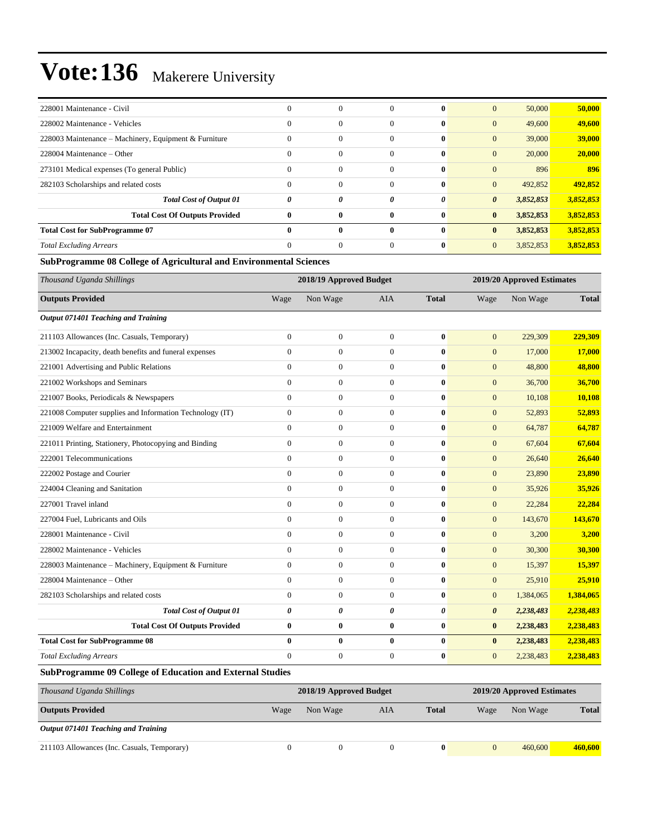| 228001 Maintenance - Civil                            |              | $\mathbf{0}$ | $\theta$              | $\bf{0}$     | 50,000<br>$\overline{0}$           | 50,000    |
|-------------------------------------------------------|--------------|--------------|-----------------------|--------------|------------------------------------|-----------|
| 228002 Maintenance - Vehicles                         | $\Omega$     | $\mathbf{0}$ | $\theta$              | $\bf{0}$     | $\overline{0}$<br>49,600           | 49,600    |
| 228003 Maintenance – Machinery, Equipment & Furniture |              | $\mathbf{0}$ | $\mathbf{0}$          | $\bf{0}$     | $\overline{0}$<br>39,000           | 39,000    |
| 228004 Maintenance – Other                            | $\Omega$     | $\mathbf{0}$ | $\overline{0}$        | $\bf{0}$     | $\overline{0}$<br>20,000           | 20,000    |
| 273101 Medical expenses (To general Public)           |              | $\mathbf{0}$ | $\overline{0}$        | $\bf{0}$     | $\overline{0}$<br>896              | 896       |
| 282103 Scholarships and related costs                 | $\Omega$     | $\Omega$     | $\theta$              | $\bf{0}$     | $\overline{0}$<br>492,852          | 492,852   |
| <b>Total Cost of Output 01</b>                        | 0            | 0            | $\boldsymbol{\theta}$ | 0            | $\boldsymbol{\theta}$<br>3,852,853 | 3,852,853 |
| <b>Total Cost Of Outputs Provided</b>                 | $\mathbf{0}$ | $\mathbf{0}$ | $\bf{0}$              | $\bf{0}$     | $\bf{0}$<br>3,852,853              | 3,852,853 |
| <b>Total Cost for SubProgramme 07</b>                 | $\mathbf{0}$ | $\mathbf{0}$ | $\bf{0}$              | $\mathbf{0}$ | $\bf{0}$<br>3,852,853              | 3,852,853 |
| <b>Total Excluding Arrears</b>                        | $\Omega$     | $\mathbf{0}$ | $\theta$              | $\bf{0}$     | $\overline{0}$<br>3,852,853        | 3,852,853 |

#### **SubProgramme 08 College of Agricultural and Environmental Sciences**

| Thousand Uganda Shillings                                |                | 2018/19 Approved Budget |                |              |                       | 2019/20 Approved Estimates |              |
|----------------------------------------------------------|----------------|-------------------------|----------------|--------------|-----------------------|----------------------------|--------------|
| <b>Outputs Provided</b>                                  | Wage           | Non Wage                | <b>AIA</b>     | <b>Total</b> | Wage                  | Non Wage                   | <b>Total</b> |
| Output 071401 Teaching and Training                      |                |                         |                |              |                       |                            |              |
| 211103 Allowances (Inc. Casuals, Temporary)              | $\mathbf{0}$   | $\mathbf{0}$            | $\theta$       | $\bf{0}$     | $\mathbf{0}$          | 229,309                    | 229,309      |
| 213002 Incapacity, death benefits and funeral expenses   | $\mathbf{0}$   | $\boldsymbol{0}$        | $\mathbf{0}$   | 0            | $\mathbf{0}$          | 17,000                     | 17,000       |
| 221001 Advertising and Public Relations                  | $\overline{0}$ | $\boldsymbol{0}$        | $\mathbf{0}$   | $\bf{0}$     | $\mathbf{0}$          | 48,800                     | 48,800       |
| 221002 Workshops and Seminars                            | $\overline{0}$ | $\boldsymbol{0}$        | $\mathbf{0}$   | $\bf{0}$     | $\mathbf{0}$          | 36,700                     | 36,700       |
| 221007 Books, Periodicals & Newspapers                   | $\overline{0}$ | $\boldsymbol{0}$        | $\theta$       | $\bf{0}$     | $\mathbf{0}$          | 10,108                     | 10,108       |
| 221008 Computer supplies and Information Technology (IT) | $\overline{0}$ | $\mathbf{0}$            | $\overline{0}$ | $\bf{0}$     | $\mathbf{0}$          | 52,893                     | 52,893       |
| 221009 Welfare and Entertainment                         | $\overline{0}$ | $\mathbf{0}$            | $\overline{0}$ | $\bf{0}$     | $\mathbf{0}$          | 64,787                     | 64,787       |
| 221011 Printing, Stationery, Photocopying and Binding    | $\Omega$       | $\boldsymbol{0}$        | $\mathbf{0}$   | $\bf{0}$     | $\mathbf{0}$          | 67,604                     | 67,604       |
| 222001 Telecommunications                                | $\Omega$       | $\mathbf{0}$            | $\Omega$       | $\bf{0}$     | $\mathbf{0}$          | 26,640                     | 26,640       |
| 222002 Postage and Courier                               | $\Omega$       | $\mathbf{0}$            | $\Omega$       | 0            | $\mathbf{0}$          | 23,890                     | 23,890       |
| 224004 Cleaning and Sanitation                           | $\Omega$       | $\boldsymbol{0}$        | $\Omega$       | $\bf{0}$     | $\mathbf{0}$          | 35,926                     | 35,926       |
| 227001 Travel inland                                     | $\overline{0}$ | $\mathbf{0}$            | $\mathbf{0}$   | $\bf{0}$     | $\mathbf{0}$          | 22,284                     | 22,284       |
| 227004 Fuel, Lubricants and Oils                         | $\overline{0}$ | $\boldsymbol{0}$        | $\mathbf{0}$   | $\bf{0}$     | $\mathbf{0}$          | 143,670                    | 143,670      |
| 228001 Maintenance - Civil                               | $\mathbf{0}$   | $\boldsymbol{0}$        | $\theta$       | $\bf{0}$     | $\mathbf{0}$          | 3,200                      | 3,200        |
| 228002 Maintenance - Vehicles                            | $\Omega$       | $\boldsymbol{0}$        | $\overline{0}$ | $\bf{0}$     | $\mathbf{0}$          | 30,300                     | 30,300       |
| 228003 Maintenance - Machinery, Equipment & Furniture    | $\Omega$       | $\mathbf{0}$            | $\Omega$       | $\bf{0}$     | $\overline{0}$        | 15,397                     | 15,397       |
| 228004 Maintenance - Other                               | $\Omega$       | $\mathbf{0}$            | $\Omega$       | $\bf{0}$     | $\mathbf{0}$          | 25,910                     | 25,910       |
| 282103 Scholarships and related costs                    | $\Omega$       | $\mathbf{0}$            | $\mathbf{0}$   | $\bf{0}$     | $\mathbf{0}$          | 1,384,065                  | 1,384,065    |
| <b>Total Cost of Output 01</b>                           | 0              | 0                       | 0              | 0            | $\boldsymbol{\theta}$ | 2,238,483                  | 2,238,483    |
| <b>Total Cost Of Outputs Provided</b>                    | 0              | $\bf{0}$                | $\bf{0}$       | $\bf{0}$     | $\bf{0}$              | 2,238,483                  | 2,238,483    |
| <b>Total Cost for SubProgramme 08</b>                    | $\bf{0}$       | $\bf{0}$                | $\bf{0}$       | $\bf{0}$     | $\bf{0}$              | 2,238,483                  | 2,238,483    |
| <b>Total Excluding Arrears</b>                           | $\overline{0}$ | $\mathbf{0}$            | $\Omega$       | $\bf{0}$     | $\mathbf{0}$          | 2,238,483                  | 2,238,483    |

#### **SubProgramme 09 College of Education and External Studies**

| Thousand Uganda Shillings                   | 2018/19 Approved Budget |          |     |              |          | 2019/20 Approved Estimates |              |  |  |
|---------------------------------------------|-------------------------|----------|-----|--------------|----------|----------------------------|--------------|--|--|
| <b>Outputs Provided</b>                     | Wage                    | Non Wage | AIA | <b>Total</b> | Wage     | Non Wage                   | <b>Total</b> |  |  |
| Output 071401 Teaching and Training         |                         |          |     |              |          |                            |              |  |  |
| 211103 Allowances (Inc. Casuals, Temporary) |                         |          |     | $\mathbf{0}$ | $\theta$ | 460,600                    | 460,600      |  |  |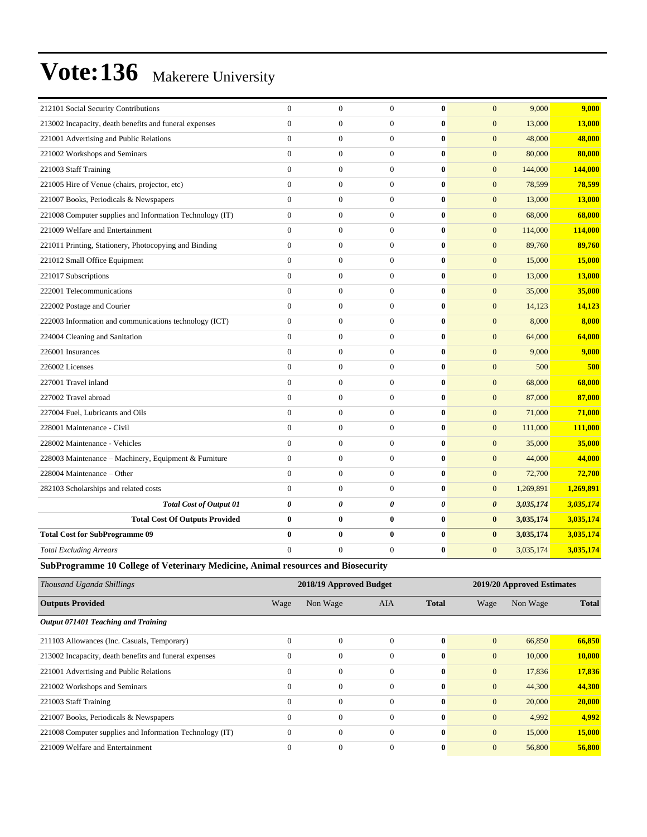| 212101 Social Security Contributions                     | $\mathbf{0}$     | $\mathbf{0}$          | $\boldsymbol{0}$      | $\bf{0}$              | $\overline{0}$        | 9,000     | 9,000     |
|----------------------------------------------------------|------------------|-----------------------|-----------------------|-----------------------|-----------------------|-----------|-----------|
| 213002 Incapacity, death benefits and funeral expenses   | $\Omega$         | $\theta$              | $\overline{0}$        | $\mathbf{0}$          | $\overline{0}$        | 13,000    | 13,000    |
| 221001 Advertising and Public Relations                  | $\mathbf{0}$     | $\mathbf{0}$          | $\mathbf{0}$          | $\bf{0}$              | $\mathbf{0}$          | 48,000    | 48,000    |
| 221002 Workshops and Seminars                            | $\overline{0}$   | $\mathbf{0}$          | $\theta$              | $\bf{0}$              | $\mathbf{0}$          | 80,000    | 80,000    |
| 221003 Staff Training                                    | $\theta$         | $\mathbf{0}$          | $\mathbf{0}$          | $\bf{0}$              | $\mathbf{0}$          | 144,000   | 144,000   |
| 221005 Hire of Venue (chairs, projector, etc)            | $\overline{0}$   | $\mathbf{0}$          | $\mathbf{0}$          | $\bf{0}$              | $\mathbf{0}$          | 78,599    | 78,599    |
| 221007 Books, Periodicals & Newspapers                   | $\overline{0}$   | $\mathbf{0}$          | $\overline{0}$        | $\bf{0}$              | $\overline{0}$        | 13,000    | 13,000    |
| 221008 Computer supplies and Information Technology (IT) | $\mathbf{0}$     | $\Omega$              | $\theta$              | $\bf{0}$              | $\overline{0}$        | 68,000    | 68,000    |
| 221009 Welfare and Entertainment                         | $\overline{0}$   | $\mathbf{0}$          | $\boldsymbol{0}$      | $\bf{0}$              | $\overline{0}$        | 114,000   | 114,000   |
| 221011 Printing, Stationery, Photocopying and Binding    | $\mathbf{0}$     | $\mathbf{0}$          | $\overline{0}$        | $\bf{0}$              | $\overline{0}$        | 89,760    | 89,760    |
| 221012 Small Office Equipment                            | $\mathbf{0}$     | $\mathbf{0}$          | $\mathbf{0}$          | $\bf{0}$              | $\mathbf{0}$          | 15,000    | 15,000    |
| 221017 Subscriptions                                     | $\Omega$         | $\mathbf{0}$          | $\overline{0}$        | $\bf{0}$              | $\mathbf{0}$          | 13,000    | 13,000    |
| 222001 Telecommunications                                | $\Omega$         | $\Omega$              | $\theta$              | $\bf{0}$              | $\overline{0}$        | 35,000    | 35,000    |
| 222002 Postage and Courier                               | $\overline{0}$   | $\mathbf{0}$          | $\boldsymbol{0}$      | $\bf{0}$              | $\mathbf{0}$          | 14,123    | 14,123    |
| 222003 Information and communications technology (ICT)   | $\overline{0}$   | $\mathbf{0}$          | $\theta$              | $\bf{0}$              | $\mathbf{0}$          | 8,000     | 8,000     |
| 224004 Cleaning and Sanitation                           | $\Omega$         | $\Omega$              | $\theta$              | $\bf{0}$              | $\overline{0}$        | 64,000    | 64,000    |
| 226001 Insurances                                        | $\overline{0}$   | $\mathbf{0}$          | $\boldsymbol{0}$      | $\bf{0}$              | $\overline{0}$        | 9,000     | 9,000     |
| 226002 Licenses                                          | $\Omega$         | $\Omega$              | $\overline{0}$        | $\mathbf{0}$          | $\overline{0}$        | 500       | 500       |
| 227001 Travel inland                                     | $\mathbf{0}$     | $\mathbf{0}$          | $\boldsymbol{0}$      | $\bf{0}$              | $\boldsymbol{0}$      | 68,000    | 68,000    |
| 227002 Travel abroad                                     | $\overline{0}$   | $\overline{0}$        | $\overline{0}$        | $\bf{0}$              | $\overline{0}$        | 87,000    | 87,000    |
| 227004 Fuel, Lubricants and Oils                         | $\Omega$         | $\Omega$              | $\overline{0}$        | $\mathbf{0}$          | $\overline{0}$        | 71,000    | 71,000    |
| 228001 Maintenance - Civil                               | $\overline{0}$   | $\mathbf{0}$          | $\boldsymbol{0}$      | $\bf{0}$              | $\overline{0}$        | 111,000   | 111,000   |
| 228002 Maintenance - Vehicles                            | $\overline{0}$   | $\mathbf{0}$          | $\theta$              | $\bf{0}$              | $\overline{0}$        | 35,000    | 35,000    |
| 228003 Maintenance - Machinery, Equipment & Furniture    | $\boldsymbol{0}$ | $\mathbf{0}$          | $\mathbf{0}$          | $\bf{0}$              | $\mathbf{0}$          | 44,000    | 44,000    |
| 228004 Maintenance - Other                               | $\overline{0}$   | $\mathbf{0}$          | $\boldsymbol{0}$      | $\bf{0}$              | $\overline{0}$        | 72,700    | 72,700    |
| 282103 Scholarships and related costs                    | $\Omega$         | $\Omega$              | $\theta$              | $\mathbf{0}$          | $\overline{0}$        | 1,269,891 | 1,269,891 |
| <b>Total Cost of Output 01</b>                           | 0                | $\boldsymbol{\theta}$ | $\boldsymbol{\theta}$ | $\boldsymbol{\theta}$ | $\boldsymbol{\theta}$ | 3,035,174 | 3,035,174 |
| <b>Total Cost Of Outputs Provided</b>                    | $\bf{0}$         | $\bf{0}$              | $\bf{0}$              | $\bf{0}$              | $\bf{0}$              | 3,035,174 | 3,035,174 |
| <b>Total Cost for SubProgramme 09</b>                    | $\bf{0}$         | $\bf{0}$              | $\bf{0}$              | $\bf{0}$              | $\bf{0}$              | 3,035,174 | 3,035,174 |
| <b>Total Excluding Arrears</b>                           | $\mathbf{0}$     | $\mathbf{0}$          | $\overline{0}$        | $\bf{0}$              | $\mathbf{0}$          | 3,035,174 | 3,035,174 |
|                                                          |                  |                       |                       |                       |                       |           |           |

**SubProgramme 10 College of Veterinary Medicine, Animal resources and Biosecurity**

| Thousand Uganda Shillings                                |              | 2018/19 Approved Budget |              |              |                  | 2019/20 Approved Estimates |               |  |  |
|----------------------------------------------------------|--------------|-------------------------|--------------|--------------|------------------|----------------------------|---------------|--|--|
| <b>Outputs Provided</b>                                  | Wage         | Non Wage                | AIA          | <b>Total</b> | Wage             | Non Wage                   | <b>Total</b>  |  |  |
| Output 071401 Teaching and Training                      |              |                         |              |              |                  |                            |               |  |  |
| 211103 Allowances (Inc. Casuals, Temporary)              | $\Omega$     | $\mathbf{0}$            | $\Omega$     | $\mathbf{0}$ | $\mathbf{0}$     | 66,850                     | 66,850        |  |  |
| 213002 Incapacity, death benefits and funeral expenses   | $\mathbf{0}$ | $\boldsymbol{0}$        | $\Omega$     | $\mathbf{0}$ | $\mathbf{0}$     | 10,000                     | <b>10,000</b> |  |  |
| 221001 Advertising and Public Relations                  | $\theta$     | $\mathbf{0}$            | $\mathbf{0}$ | $\bf{0}$     | $\mathbf{0}$     | 17,836                     | 17,836        |  |  |
| 221002 Workshops and Seminars                            | $\theta$     | $\mathbf{0}$            | $\Omega$     | $\mathbf{0}$ | $\mathbf{0}$     | 44,300                     | 44,300        |  |  |
| 221003 Staff Training                                    | $\theta$     | $\mathbf{0}$            | $\Omega$     | $\mathbf{0}$ | $\mathbf{0}$     | 20,000                     | 20,000        |  |  |
| 221007 Books, Periodicals & Newspapers                   | $\Omega$     | $\mathbf{0}$            | $\Omega$     | $\mathbf{0}$ | $\mathbf{0}$     | 4,992                      | 4,992         |  |  |
| 221008 Computer supplies and Information Technology (IT) | $\mathbf{0}$ | $\mathbf{0}$            | $\Omega$     | $\mathbf{0}$ | $\boldsymbol{0}$ | 15,000                     | 15,000        |  |  |
| 221009 Welfare and Entertainment                         | $\Omega$     | $\mathbf{0}$            | $\Omega$     | $\mathbf{0}$ | $\mathbf{0}$     | 56,800                     | 56,800        |  |  |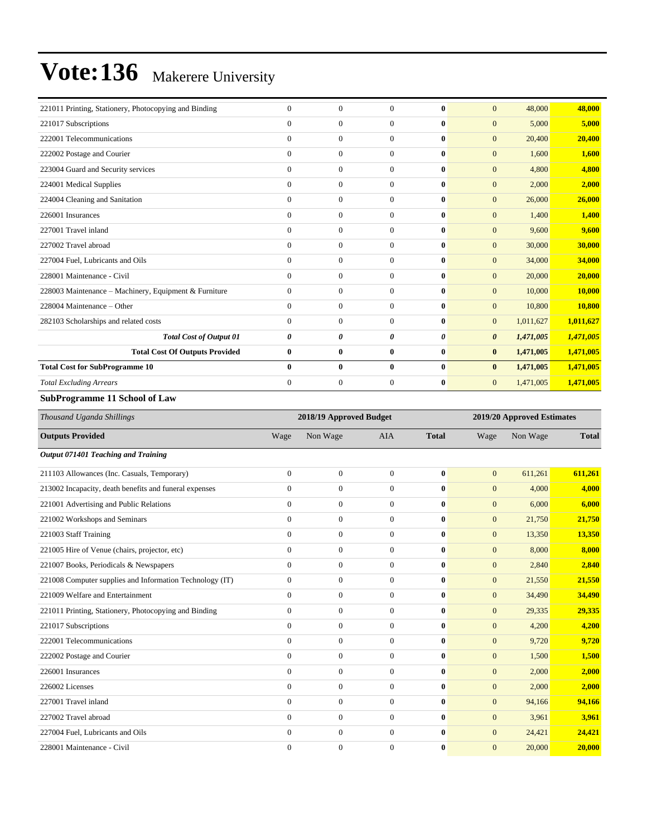| 221011 Printing, Stationery, Photocopying and Binding | $\overline{0}$ | $\mathbf{0}$     | $\mathbf{0}$   | $\mathbf{0}$ | $\overline{0}$        | 48,000    | 48,000    |
|-------------------------------------------------------|----------------|------------------|----------------|--------------|-----------------------|-----------|-----------|
| 221017 Subscriptions                                  | $\overline{0}$ | $\overline{0}$   | $\overline{0}$ | $\mathbf{0}$ | $\overline{0}$        | 5,000     | 5,000     |
| 222001 Telecommunications                             | $\overline{0}$ | $\mathbf{0}$     | $\overline{0}$ | $\mathbf{0}$ | $\overline{0}$        | 20,400    | 20,400    |
| 222002 Postage and Courier                            | $\Omega$       | $\mathbf{0}$     | $\Omega$       | $\mathbf{0}$ | $\overline{0}$        | 1,600     | 1,600     |
| 223004 Guard and Security services                    | $\overline{0}$ | $\overline{0}$   | $\overline{0}$ | $\mathbf{0}$ | $\boldsymbol{0}$      | 4,800     | 4,800     |
| 224001 Medical Supplies                               | $\overline{0}$ | $\boldsymbol{0}$ | $\overline{0}$ | $\bf{0}$     | $\boldsymbol{0}$      | 2,000     | 2,000     |
| 224004 Cleaning and Sanitation                        | $\overline{0}$ | $\mathbf{0}$     | $\overline{0}$ | $\mathbf{0}$ | $\overline{0}$        | 26,000    | 26,000    |
| 226001 Insurances                                     | $\overline{0}$ | $\mathbf{0}$     | $\overline{0}$ | $\mathbf{0}$ | $\overline{0}$        | 1,400     | 1,400     |
| 227001 Travel inland                                  | $\Omega$       | $\mathbf{0}$     | $\overline{0}$ | $\mathbf{0}$ | $\overline{0}$        | 9,600     | 9,600     |
| 227002 Travel abroad                                  | $\Omega$       | $\mathbf{0}$     | $\Omega$       | $\mathbf{0}$ | $\overline{0}$        | 30,000    | 30,000    |
| 227004 Fuel, Lubricants and Oils                      | $\mathbf{0}$   | $\overline{0}$   | $\mathbf{0}$   | $\mathbf{0}$ | $\overline{0}$        | 34,000    | 34,000    |
| 228001 Maintenance - Civil                            | $\Omega$       | $\overline{0}$   | $\Omega$       | $\mathbf{0}$ | $\overline{0}$        | 20,000    | 20,000    |
| 228003 Maintenance - Machinery, Equipment & Furniture | $\Omega$       | $\overline{0}$   | $\Omega$       | $\mathbf{0}$ | $\overline{0}$        | 10,000    | 10,000    |
| 228004 Maintenance – Other                            | $\Omega$       | $\overline{0}$   | $\Omega$       | $\mathbf{0}$ | $\overline{0}$        | 10,800    | 10,800    |
| 282103 Scholarships and related costs                 | $\Omega$       | $\mathbf{0}$     | $\overline{0}$ | $\mathbf{0}$ | $\overline{0}$        | 1,011,627 | 1,011,627 |
| <b>Total Cost of Output 01</b>                        | 0              | 0                | 0              | 0            | $\boldsymbol{\theta}$ | 1,471,005 | 1,471,005 |
| <b>Total Cost Of Outputs Provided</b>                 | $\bf{0}$       | $\bf{0}$         | $\bf{0}$       | $\mathbf{0}$ | $\bf{0}$              | 1,471,005 | 1,471,005 |
| <b>Total Cost for SubProgramme 10</b>                 | $\bf{0}$       | $\bf{0}$         | $\bf{0}$       | $\mathbf{0}$ | $\bf{0}$              | 1,471,005 | 1,471,005 |
| <b>Total Excluding Arrears</b>                        | $\Omega$       | $\overline{0}$   | $\overline{0}$ | $\bf{0}$     | $\mathbf{0}$          | 1,471,005 | 1,471,005 |

#### **SubProgramme 11 School of Law**

| Thousand Uganda Shillings                                |                  | 2018/19 Approved Budget |              |              | 2019/20 Approved Estimates |          |              |  |
|----------------------------------------------------------|------------------|-------------------------|--------------|--------------|----------------------------|----------|--------------|--|
| <b>Outputs Provided</b>                                  | Wage             | Non Wage                | <b>AIA</b>   | <b>Total</b> | Wage                       | Non Wage | <b>Total</b> |  |
| Output 071401 Teaching and Training                      |                  |                         |              |              |                            |          |              |  |
| 211103 Allowances (Inc. Casuals, Temporary)              | $\mathbf{0}$     | $\overline{0}$          | $\mathbf{0}$ | $\bf{0}$     | $\overline{0}$             | 611,261  | 611,261      |  |
| 213002 Incapacity, death benefits and funeral expenses   | $\overline{0}$   | $\mathbf{0}$            | $\mathbf{0}$ | $\bf{0}$     | $\mathbf{0}$               | 4,000    | 4,000        |  |
| 221001 Advertising and Public Relations                  | $\overline{0}$   | $\overline{0}$          | $\Omega$     | $\mathbf{0}$ | $\overline{0}$             | 6,000    | 6,000        |  |
| 221002 Workshops and Seminars                            | $\overline{0}$   | $\boldsymbol{0}$        | $\mathbf{0}$ | $\bf{0}$     | $\mathbf{0}$               | 21,750   | 21,750       |  |
| 221003 Staff Training                                    | $\overline{0}$   | $\boldsymbol{0}$        | $\Omega$     | $\mathbf{0}$ | $\overline{0}$             | 13,350   | 13,350       |  |
| 221005 Hire of Venue (chairs, projector, etc)            | $\overline{0}$   | $\overline{0}$          | $\mathbf{0}$ | $\bf{0}$     | $\overline{0}$             | 8,000    | 8,000        |  |
| 221007 Books, Periodicals & Newspapers                   | $\overline{0}$   | $\boldsymbol{0}$        | $\mathbf{0}$ | $\mathbf{0}$ | $\mathbf{0}$               | 2,840    | 2,840        |  |
| 221008 Computer supplies and Information Technology (IT) | $\overline{0}$   | $\mathbf{0}$            | $\Omega$     | $\mathbf{0}$ | $\overline{0}$             | 21,550   | 21,550       |  |
| 221009 Welfare and Entertainment                         | $\overline{0}$   | $\mathbf{0}$            | $\Omega$     | $\mathbf{0}$ | $\overline{0}$             | 34,490   | 34,490       |  |
| 221011 Printing, Stationery, Photocopying and Binding    | $\overline{0}$   | $\overline{0}$          | $\mathbf{0}$ | $\bf{0}$     | $\overline{0}$             | 29,335   | 29,335       |  |
| 221017 Subscriptions                                     | $\mathbf{0}$     | $\mathbf{0}$            | $\Omega$     | $\mathbf{0}$ | $\mathbf{0}$               | 4,200    | 4,200        |  |
| 222001 Telecommunications                                | $\overline{0}$   | $\boldsymbol{0}$        | $\Omega$     | $\bf{0}$     | $\boldsymbol{0}$           | 9,720    | 9,720        |  |
| 222002 Postage and Courier                               | $\Omega$         | $\overline{0}$          | $\Omega$     | $\bf{0}$     | $\overline{0}$             | 1,500    | 1,500        |  |
| 226001 Insurances                                        | $\overline{0}$   | $\boldsymbol{0}$        | $\Omega$     | $\mathbf{0}$ | $\mathbf{0}$               | 2,000    | 2,000        |  |
| 226002 Licenses                                          | $\Omega$         | $\overline{0}$          | $\Omega$     | $\mathbf{0}$ | $\mathbf{0}$               | 2,000    | 2,000        |  |
| 227001 Travel inland                                     | $\overline{0}$   | $\overline{0}$          | $\mathbf{0}$ | $\bf{0}$     | $\overline{0}$             | 94,166   | 94,166       |  |
| 227002 Travel abroad                                     | $\overline{0}$   | $\overline{0}$          | $\mathbf{0}$ | $\bf{0}$     | $\overline{0}$             | 3,961    | 3,961        |  |
| 227004 Fuel, Lubricants and Oils                         | $\mathbf{0}$     | $\boldsymbol{0}$        | $\Omega$     | $\mathbf{0}$ | $\overline{0}$             | 24,421   | 24,421       |  |
| 228001 Maintenance - Civil                               | $\boldsymbol{0}$ | $\boldsymbol{0}$        | $\mathbf{0}$ | $\bf{0}$     | $\overline{0}$             | 20,000   | 20,000       |  |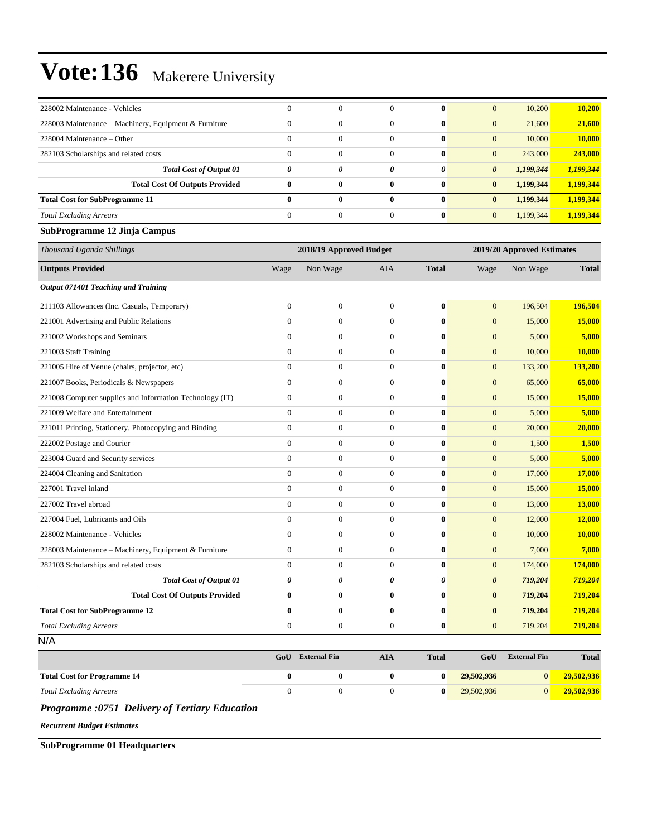| 228002 Maintenance - Vehicles                            | $\boldsymbol{0}$ | $\mathbf{0}$            | $\boldsymbol{0}$      | 0                | $\overline{0}$        | 10,200                     | 10,200        |  |  |  |
|----------------------------------------------------------|------------------|-------------------------|-----------------------|------------------|-----------------------|----------------------------|---------------|--|--|--|
| 228003 Maintenance – Machinery, Equipment & Furniture    | $\boldsymbol{0}$ | $\boldsymbol{0}$        | $\boldsymbol{0}$      | $\bf{0}$         | $\boldsymbol{0}$      | 21,600                     | 21,600        |  |  |  |
| 228004 Maintenance – Other                               | $\boldsymbol{0}$ | $\mathbf{0}$            | $\boldsymbol{0}$      | $\bf{0}$         | $\mathbf{0}$          | 10,000                     | <b>10,000</b> |  |  |  |
| 282103 Scholarships and related costs                    | $\overline{0}$   | $\mathbf{0}$            | $\mathbf{0}$          | $\bf{0}$         | $\mathbf{0}$          | 243,000                    | 243,000       |  |  |  |
| <b>Total Cost of Output 01</b>                           | 0                | 0                       | 0                     | 0                | $\boldsymbol{\theta}$ | 1,199,344                  | 1,199,344     |  |  |  |
| <b>Total Cost Of Outputs Provided</b>                    | $\bf{0}$         | $\bf{0}$                | $\bf{0}$              | 0                | $\bf{0}$              | 1,199,344                  | 1,199,344     |  |  |  |
| <b>Total Cost for SubProgramme 11</b>                    | $\bf{0}$         | $\bf{0}$                | $\bf{0}$              | $\bf{0}$         | $\bf{0}$              | 1,199,344                  | 1,199,344     |  |  |  |
| <b>Total Excluding Arrears</b>                           | $\boldsymbol{0}$ | $\boldsymbol{0}$        | $\boldsymbol{0}$      | $\bf{0}$         | $\mathbf{0}$          | 1,199,344                  | 1,199,344     |  |  |  |
| SubProgramme 12 Jinja Campus                             |                  |                         |                       |                  |                       |                            |               |  |  |  |
| Thousand Uganda Shillings                                |                  | 2018/19 Approved Budget |                       |                  |                       | 2019/20 Approved Estimates |               |  |  |  |
| <b>Outputs Provided</b>                                  | Wage             | Non Wage                | AIA                   | <b>Total</b>     | Wage                  | Non Wage                   | <b>Total</b>  |  |  |  |
| Output 071401 Teaching and Training                      |                  |                         |                       |                  |                       |                            |               |  |  |  |
| 211103 Allowances (Inc. Casuals, Temporary)              | $\boldsymbol{0}$ | $\boldsymbol{0}$        | $\boldsymbol{0}$      | $\bf{0}$         | $\boldsymbol{0}$      | 196,504                    | 196,504       |  |  |  |
| 221001 Advertising and Public Relations                  | $\boldsymbol{0}$ | $\mathbf{0}$            | $\boldsymbol{0}$      | $\bf{0}$         | $\mathbf{0}$          | 15,000                     | 15,000        |  |  |  |
| 221002 Workshops and Seminars                            | $\boldsymbol{0}$ | $\mathbf{0}$            | $\boldsymbol{0}$      | 0                | $\mathbf{0}$          | 5,000                      | 5,000         |  |  |  |
| 221003 Staff Training                                    | $\boldsymbol{0}$ | $\boldsymbol{0}$        | $\boldsymbol{0}$      | $\bf{0}$         | $\mathbf{0}$          | 10,000                     | <b>10,000</b> |  |  |  |
| 221005 Hire of Venue (chairs, projector, etc)            | $\boldsymbol{0}$ | $\mathbf{0}$            | $\boldsymbol{0}$      | $\bf{0}$         | $\mathbf{0}$          | 133,200                    | 133,200       |  |  |  |
| 221007 Books, Periodicals & Newspapers                   | $\overline{0}$   | $\mathbf{0}$            | $\mathbf{0}$          | $\bf{0}$         | $\mathbf{0}$          | 65,000                     | 65,000        |  |  |  |
| 221008 Computer supplies and Information Technology (IT) | $\boldsymbol{0}$ | $\mathbf{0}$            | $\boldsymbol{0}$      | $\bf{0}$         | $\mathbf{0}$          | 15,000                     | 15,000        |  |  |  |
| 221009 Welfare and Entertainment                         | $\boldsymbol{0}$ | $\mathbf{0}$            | $\boldsymbol{0}$      | 0                | $\mathbf{0}$          | 5,000                      | 5,000         |  |  |  |
| 221011 Printing, Stationery, Photocopying and Binding    | $\boldsymbol{0}$ | $\boldsymbol{0}$        | $\boldsymbol{0}$      | $\bf{0}$         | $\mathbf{0}$          | 20,000                     | 20,000        |  |  |  |
| 222002 Postage and Courier                               | $\boldsymbol{0}$ | $\mathbf{0}$            | $\boldsymbol{0}$      | $\bf{0}$         | $\boldsymbol{0}$      | 1,500                      | 1,500         |  |  |  |
| 223004 Guard and Security services                       | $\overline{0}$   | $\mathbf{0}$            | $\mathbf{0}$          | $\bf{0}$         | $\mathbf{0}$          | 5,000                      | 5,000         |  |  |  |
| 224004 Cleaning and Sanitation                           | $\boldsymbol{0}$ | $\mathbf{0}$            | $\boldsymbol{0}$      | $\bf{0}$         | $\boldsymbol{0}$      | 17,000                     | 17,000        |  |  |  |
| 227001 Travel inland                                     | $\boldsymbol{0}$ | $\mathbf{0}$            | $\boldsymbol{0}$      | $\bf{0}$         | $\mathbf{0}$          | 15,000                     | 15,000        |  |  |  |
| 227002 Travel abroad                                     | $\boldsymbol{0}$ | $\boldsymbol{0}$        | $\boldsymbol{0}$      | $\bf{0}$         | $\mathbf{0}$          | 13,000                     | <b>13,000</b> |  |  |  |
| 227004 Fuel, Lubricants and Oils                         | $\boldsymbol{0}$ | $\mathbf{0}$            | $\boldsymbol{0}$      | $\bf{0}$         | $\mathbf{0}$          | 12,000                     | 12,000        |  |  |  |
| 228002 Maintenance - Vehicles                            | $\overline{0}$   | $\mathbf{0}$            | $\mathbf{0}$          | $\bf{0}$         | $\mathbf{0}$          | 10,000                     | <b>10,000</b> |  |  |  |
| 228003 Maintenance - Machinery, Equipment & Furniture    | $\boldsymbol{0}$ | $\mathbf{0}$            | $\boldsymbol{0}$      | $\bf{0}$         | $\mathbf{0}$          | 7,000                      | 7,000         |  |  |  |
| 282103 Scholarships and related costs                    | $\mathbf{0}$     | $\mathbf{0}$            | $\mathbf{0}$          | $\bf{0}$         | $\mathbf{0}$          | 174,000                    | 174,000       |  |  |  |
| <b>Total Cost of Output 01</b>                           | 0                | $\pmb{\theta}$          | $\boldsymbol{\theta}$ | 0                | 0                     | 719,204                    | 719,204       |  |  |  |
| <b>Total Cost Of Outputs Provided</b>                    | $\bf{0}$         | $\bf{0}$                | $\bf{0}$              | 0                | $\bf{0}$              | 719,204                    | 719,204       |  |  |  |
| <b>Total Cost for SubProgramme 12</b>                    | $\bf{0}$         | $\bf{0}$                | $\bf{0}$              | $\bf{0}$         | $\bf{0}$              | 719,204                    | 719,204       |  |  |  |
| <b>Total Excluding Arrears</b>                           | $\boldsymbol{0}$ | $\boldsymbol{0}$        | $\boldsymbol{0}$      | $\boldsymbol{0}$ | $\boldsymbol{0}$      | 719,204                    | 719,204       |  |  |  |
| N/A                                                      |                  |                         |                       |                  |                       |                            |               |  |  |  |
|                                                          |                  | GoU External Fin        | <b>AIA</b>            | <b>Total</b>     | GoU                   | <b>External Fin</b>        | <b>Total</b>  |  |  |  |
| <b>Total Cost for Programme 14</b>                       | $\bf{0}$         | $\bf{0}$                | $\bf{0}$              | $\bf{0}$         | 29,502,936            | $\bf{0}$                   | 29,502,936    |  |  |  |
| <b>Total Excluding Arrears</b>                           | $\boldsymbol{0}$ | $\boldsymbol{0}$        | $\boldsymbol{0}$      | $\bf{0}$         | 29,502,936            | $\boldsymbol{0}$           | 29,502,936    |  |  |  |

*Programme :0751 Delivery of Tertiary Education*

*Recurrent Budget Estimates*

**SubProgramme 01 Headquarters**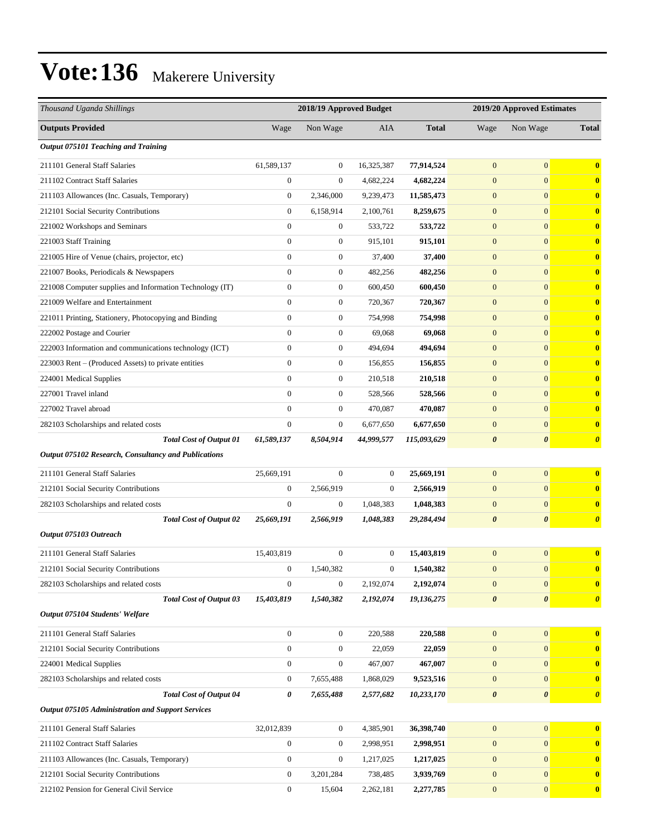| Thousand Uganda Shillings                                |                  | 2018/19 Approved Budget |                  |              |                       | 2019/20 Approved Estimates |                       |
|----------------------------------------------------------|------------------|-------------------------|------------------|--------------|-----------------------|----------------------------|-----------------------|
| <b>Outputs Provided</b>                                  | Wage             | Non Wage                | AIA              | <b>Total</b> | Wage                  | Non Wage                   | <b>Total</b>          |
| Output 075101 Teaching and Training                      |                  |                         |                  |              |                       |                            |                       |
| 211101 General Staff Salaries                            | 61,589,137       | $\boldsymbol{0}$        | 16,325,387       | 77,914,524   | $\mathbf{0}$          | $\overline{0}$             | $\mathbf{0}$          |
| 211102 Contract Staff Salaries                           | $\boldsymbol{0}$ | $\boldsymbol{0}$        | 4,682,224        | 4,682,224    | $\mathbf{0}$          | $\overline{0}$             | $\mathbf{0}$          |
| 211103 Allowances (Inc. Casuals, Temporary)              | $\boldsymbol{0}$ | 2,346,000               | 9,239,473        | 11,585,473   | $\mathbf{0}$          | $\overline{0}$             | $\bf{0}$              |
| 212101 Social Security Contributions                     | $\boldsymbol{0}$ | 6,158,914               | 2,100,761        | 8,259,675    | $\mathbf{0}$          | $\mathbf{0}$               | $\bf{0}$              |
| 221002 Workshops and Seminars                            | $\mathbf{0}$     | $\boldsymbol{0}$        | 533,722          | 533,722      | $\mathbf{0}$          | $\overline{0}$             | $\mathbf{0}$          |
| 221003 Staff Training                                    | $\mathbf{0}$     | $\boldsymbol{0}$        | 915,101          | 915,101      | $\mathbf{0}$          | $\overline{0}$             | $\bf{0}$              |
| 221005 Hire of Venue (chairs, projector, etc)            | $\mathbf{0}$     | $\boldsymbol{0}$        | 37,400           | 37,400       | $\mathbf{0}$          | $\overline{0}$             | $\bf{0}$              |
| 221007 Books, Periodicals & Newspapers                   | $\overline{0}$   | $\boldsymbol{0}$        | 482,256          | 482,256      | $\mathbf{0}$          | $\overline{0}$             | $\bf{0}$              |
| 221008 Computer supplies and Information Technology (IT) | $\boldsymbol{0}$ | $\boldsymbol{0}$        | 600,450          | 600,450      | $\mathbf{0}$          | $\boldsymbol{0}$           | $\bf{0}$              |
| 221009 Welfare and Entertainment                         | $\overline{0}$   | $\boldsymbol{0}$        | 720,367          | 720,367      | $\mathbf{0}$          | $\overline{0}$             | $\mathbf{0}$          |
| 221011 Printing, Stationery, Photocopying and Binding    | $\overline{0}$   | $\boldsymbol{0}$        | 754,998          | 754,998      | $\mathbf{0}$          | $\overline{0}$             | $\bf{0}$              |
| 222002 Postage and Courier                               | $\mathbf{0}$     | $\boldsymbol{0}$        | 69,068           | 69,068       | $\mathbf{0}$          | $\overline{0}$             | $\bf{0}$              |
| 222003 Information and communications technology (ICT)   | $\overline{0}$   | $\boldsymbol{0}$        | 494,694          | 494,694      | $\mathbf{0}$          | $\overline{0}$             | $\bf{0}$              |
| 223003 Rent – (Produced Assets) to private entities      | $\boldsymbol{0}$ | $\boldsymbol{0}$        | 156,855          | 156,855      | $\mathbf{0}$          | $\boldsymbol{0}$           | $\bf{0}$              |
| 224001 Medical Supplies                                  | $\mathbf{0}$     | $\boldsymbol{0}$        | 210,518          | 210,518      | $\mathbf{0}$          | $\overline{0}$             | $\mathbf{0}$          |
| 227001 Travel inland                                     | $\overline{0}$   | $\boldsymbol{0}$        | 528,566          | 528,566      | $\mathbf{0}$          | $\overline{0}$             | $\bf{0}$              |
| 227002 Travel abroad                                     | $\mathbf{0}$     | $\boldsymbol{0}$        | 470,087          | 470,087      | $\mathbf{0}$          | $\overline{0}$             | $\bf{0}$              |
| 282103 Scholarships and related costs                    | $\boldsymbol{0}$ | $\boldsymbol{0}$        | 6,677,650        | 6,677,650    | $\mathbf{0}$          | $\mathbf{0}$               | $\bf{0}$              |
| <b>Total Cost of Output 01</b>                           | 61,589,137       | 8,504,914               | 44,999,577       | 115,093,629  | $\boldsymbol{\theta}$ | $\boldsymbol{\theta}$      | $\boldsymbol{\theta}$ |
| Output 075102 Research, Consultancy and Publications     |                  |                         |                  |              |                       |                            |                       |
| 211101 General Staff Salaries                            | 25,669,191       | $\boldsymbol{0}$        | $\boldsymbol{0}$ | 25,669,191   | $\mathbf{0}$          | $\boldsymbol{0}$           | $\mathbf{0}$          |
| 212101 Social Security Contributions                     | $\mathbf{0}$     | 2,566,919               | $\boldsymbol{0}$ | 2,566,919    | $\mathbf{0}$          | $\boldsymbol{0}$           | $\bf{0}$              |
| 282103 Scholarships and related costs                    | $\mathbf{0}$     | $\boldsymbol{0}$        | 1,048,383        | 1,048,383    | $\mathbf{0}$          | $\boldsymbol{0}$           | $\bf{0}$              |
| <b>Total Cost of Output 02</b>                           | 25,669,191       | 2,566,919               | 1,048,383        | 29,284,494   | $\boldsymbol{\theta}$ | $\boldsymbol{\theta}$      | $\boldsymbol{\theta}$ |
| Output 075103 Outreach                                   |                  |                         |                  |              |                       |                            |                       |
| 211101 General Staff Salaries                            | 15,403,819       | $\boldsymbol{0}$        | $\boldsymbol{0}$ | 15,403,819   | $\boldsymbol{0}$      | $\boldsymbol{0}$           | $\bf{0}$              |
| 212101 Social Security Contributions                     | $\mathbf{0}$     | 1,540,382               | $\mathbf{0}$     | 1,540,382    | $\overline{0}$        | $\overline{0}$             | $\bf{0}$              |
| 282103 Scholarships and related costs                    | $\boldsymbol{0}$ | $\boldsymbol{0}$        | 2,192,074        | 2,192,074    | $\mathbf{0}$          | $\mathbf{0}$               | $\bf{0}$              |
| <b>Total Cost of Output 03</b>                           | 15,403,819       | 1,540,382               | 2,192,074        | 19,136,275   | $\pmb{\theta}$        | $\boldsymbol{\theta}$      | $\boldsymbol{\theta}$ |
| Output 075104 Students' Welfare                          |                  |                         |                  |              |                       |                            |                       |
| 211101 General Staff Salaries                            | $\mathbf{0}$     | $\boldsymbol{0}$        | 220,588          | 220,588      | $\mathbf{0}$          | $\overline{0}$             | $\bf{0}$              |
| 212101 Social Security Contributions                     | $\boldsymbol{0}$ | $\boldsymbol{0}$        | 22,059           | 22,059       | $\boldsymbol{0}$      | $\boldsymbol{0}$           | $\bf{0}$              |
| 224001 Medical Supplies                                  | $\boldsymbol{0}$ | $\boldsymbol{0}$        | 467,007          | 467,007      | $\boldsymbol{0}$      | $\overline{0}$             | $\bf{0}$              |
| 282103 Scholarships and related costs                    | $\boldsymbol{0}$ | 7,655,488               | 1,868,029        | 9,523,516    | $\boldsymbol{0}$      | $\overline{0}$             | $\bf{0}$              |
| <b>Total Cost of Output 04</b>                           | 0                | 7,655,488               | 2,577,682        | 10,233,170   | $\boldsymbol{\theta}$ | 0                          | $\boldsymbol{\theta}$ |
| Output 075105 Administration and Support Services        |                  |                         |                  |              |                       |                            |                       |
| 211101 General Staff Salaries                            | 32,012,839       | $\boldsymbol{0}$        | 4,385,901        | 36,398,740   | $\mathbf{0}$          | $\mathbf{0}$               | $\mathbf{0}$          |
| 211102 Contract Staff Salaries                           | $\boldsymbol{0}$ | 0                       | 2,998,951        | 2,998,951    | $\boldsymbol{0}$      | $\boldsymbol{0}$           | $\bf{0}$              |
| 211103 Allowances (Inc. Casuals, Temporary)              | $\boldsymbol{0}$ | $\boldsymbol{0}$        | 1,217,025        | 1,217,025    | $\boldsymbol{0}$      | $\overline{0}$             | $\bf{0}$              |
| 212101 Social Security Contributions                     | $\boldsymbol{0}$ | 3,201,284               | 738,485          | 3,939,769    | $\mathbf{0}$          | $\overline{0}$             | $\bf{0}$              |
| 212102 Pension for General Civil Service                 | $\boldsymbol{0}$ | 15,604                  | 2,262,181        | 2,277,785    | $\boldsymbol{0}$      | $\overline{0}$             | $\mathbf{0}$          |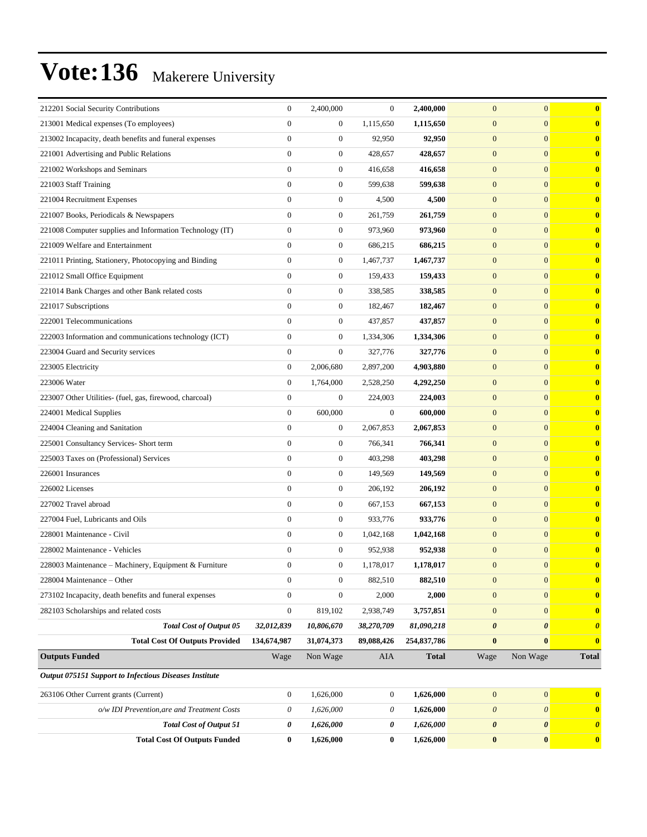| 212201 Social Security Contributions                     | $\mathbf{0}$     | 2,400,000        | $\mathbf{0}$     | 2,400,000    | $\overline{0}$        | $\mathbf{0}$          | $\bf{0}$              |
|----------------------------------------------------------|------------------|------------------|------------------|--------------|-----------------------|-----------------------|-----------------------|
| 213001 Medical expenses (To employees)                   | $\mathbf{0}$     | $\boldsymbol{0}$ | 1,115,650        | 1,115,650    | $\mathbf{0}$          | $\mathbf{0}$          | $\mathbf{0}$          |
| 213002 Incapacity, death benefits and funeral expenses   | $\overline{0}$   | $\boldsymbol{0}$ | 92,950           | 92,950       | $\mathbf{0}$          | $\mathbf{0}$          | $\bf{0}$              |
| 221001 Advertising and Public Relations                  | $\overline{0}$   | $\boldsymbol{0}$ | 428,657          | 428,657      | $\mathbf{0}$          | $\mathbf{0}$          | $\mathbf{0}$          |
| 221002 Workshops and Seminars                            | $\mathbf{0}$     | $\boldsymbol{0}$ | 416.658          | 416,658      | $\mathbf{0}$          | $\mathbf{0}$          | $\bf{0}$              |
| 221003 Staff Training                                    | $\overline{0}$   | $\boldsymbol{0}$ | 599,638          | 599,638      | $\mathbf{0}$          | $\mathbf{0}$          | $\bf{0}$              |
| 221004 Recruitment Expenses                              | $\overline{0}$   | $\boldsymbol{0}$ | 4,500            | 4,500        | $\mathbf{0}$          | $\mathbf{0}$          | $\mathbf{0}$          |
| 221007 Books, Periodicals & Newspapers                   | $\overline{0}$   | $\boldsymbol{0}$ | 261,759          | 261.759      | $\mathbf{0}$          | $\mathbf{0}$          | $\bf{0}$              |
| 221008 Computer supplies and Information Technology (IT) | $\overline{0}$   | $\boldsymbol{0}$ | 973,960          | 973,960      | $\mathbf{0}$          | $\mathbf{0}$          | $\mathbf{0}$          |
| 221009 Welfare and Entertainment                         | $\mathbf{0}$     | $\boldsymbol{0}$ | 686,215          | 686,215      | $\mathbf{0}$          | $\mathbf{0}$          | $\bf{0}$              |
| 221011 Printing, Stationery, Photocopying and Binding    | $\overline{0}$   | $\boldsymbol{0}$ | 1,467,737        | 1,467,737    | $\mathbf{0}$          | $\mathbf{0}$          | $\bf{0}$              |
| 221012 Small Office Equipment                            | $\overline{0}$   | $\boldsymbol{0}$ | 159,433          | 159,433      | $\mathbf{0}$          | $\mathbf{0}$          | $\mathbf{0}$          |
| 221014 Bank Charges and other Bank related costs         | $\overline{0}$   | $\boldsymbol{0}$ | 338,585          | 338,585      | $\mathbf{0}$          | $\mathbf{0}$          | $\bf{0}$              |
| 221017 Subscriptions                                     | $\overline{0}$   | $\boldsymbol{0}$ | 182,467          | 182,467      | $\mathbf{0}$          | $\mathbf{0}$          | $\mathbf{0}$          |
| 222001 Telecommunications                                | $\overline{0}$   | $\boldsymbol{0}$ | 437,857          | 437,857      | $\mathbf{0}$          | $\mathbf{0}$          | $\bf{0}$              |
| 222003 Information and communications technology (ICT)   | $\mathbf{0}$     | $\boldsymbol{0}$ | 1,334,306        | 1,334,306    | $\mathbf{0}$          | $\mathbf{0}$          | $\bf{0}$              |
| 223004 Guard and Security services                       | $\overline{0}$   | $\boldsymbol{0}$ | 327,776          | 327,776      | $\mathbf{0}$          | $\mathbf{0}$          | $\mathbf{0}$          |
| 223005 Electricity                                       | $\boldsymbol{0}$ | 2,006,680        | 2,897,200        | 4,903,880    | $\mathbf{0}$          | $\mathbf{0}$          | $\bf{0}$              |
| 223006 Water                                             | $\mathbf{0}$     | 1,764,000        | 2,528,250        | 4,292,250    | $\mathbf{0}$          | $\mathbf{0}$          | $\mathbf{0}$          |
| 223007 Other Utilities- (fuel, gas, firewood, charcoal)  | $\boldsymbol{0}$ | $\boldsymbol{0}$ | 224,003          | 224,003      | $\mathbf{0}$          | $\mathbf{0}$          | $\bf{0}$              |
| 224001 Medical Supplies                                  | $\mathbf{0}$     | 600,000          | $\boldsymbol{0}$ | 600,000      | $\mathbf{0}$          | $\mathbf{0}$          | $\bf{0}$              |
| 224004 Cleaning and Sanitation                           | $\overline{0}$   | $\boldsymbol{0}$ | 2,067,853        | 2,067,853    | $\mathbf{0}$          | $\mathbf{0}$          | $\mathbf{0}$          |
| 225001 Consultancy Services- Short term                  | $\boldsymbol{0}$ | 0                | 766,341          | 766,341      | $\mathbf{0}$          | $\mathbf{0}$          | $\bf{0}$              |
| 225003 Taxes on (Professional) Services                  | $\overline{0}$   | $\boldsymbol{0}$ | 403,298          | 403,298      | $\mathbf{0}$          | $\mathbf{0}$          | $\mathbf{0}$          |
| 226001 Insurances                                        | $\mathbf{0}$     | $\boldsymbol{0}$ | 149,569          | 149,569      | $\mathbf{0}$          | $\mathbf{0}$          | $\bf{0}$              |
| 226002 Licenses                                          | $\overline{0}$   | $\boldsymbol{0}$ | 206,192          | 206,192      | $\mathbf{0}$          | $\mathbf{0}$          | $\bf{0}$              |
| 227002 Travel abroad                                     | $\overline{0}$   | $\boldsymbol{0}$ | 667,153          | 667,153      | $\mathbf{0}$          | $\mathbf{0}$          | $\mathbf{0}$          |
| 227004 Fuel, Lubricants and Oils                         | $\overline{0}$   | $\boldsymbol{0}$ | 933,776          | 933,776      | $\mathbf{0}$          | $\mathbf{0}$          | $\bf{0}$              |
| 228001 Maintenance - Civil                               | $\mathbf{0}$     | $\boldsymbol{0}$ | 1,042,168        | 1,042,168    | $\mathbf{0}$          | $\mathbf{0}$          | $\mathbf{0}$          |
| 228002 Maintenance - Vehicles                            | $\mathbf{0}$     | $\boldsymbol{0}$ | 952,938          | 952,938      | $\mathbf{0}$          | $\mathbf{0}$          | $\bf{0}$              |
| 228003 Maintenance - Machinery, Equipment & Furniture    | $\overline{0}$   | $\boldsymbol{0}$ | 1,178,017        | 1,178,017    | $\mathbf{0}$          | $\mathbf{0}$          | $\bf{0}$              |
| 228004 Maintenance - Other                               | $\boldsymbol{0}$ | $\boldsymbol{0}$ | 882,510          | 882,510      | $\mathbf{0}$          | $\boldsymbol{0}$      | $\bf{0}$              |
| 273102 Incapacity, death benefits and funeral expenses   | $\boldsymbol{0}$ | $\boldsymbol{0}$ | 2,000            | 2,000        | $\mathbf{0}$          | $\mathbf{0}$          | $\bf{0}$              |
| 282103 Scholarships and related costs                    | $\boldsymbol{0}$ | 819,102          | 2,938,749        | 3,757,851    | $\mathbf{0}$          | $\boldsymbol{0}$      | $\mathbf{0}$          |
| <b>Total Cost of Output 05</b>                           | 32,012,839       | 10,806,670       | 38,270,709       | 81,090,218   | $\boldsymbol{\theta}$ | $\boldsymbol{\theta}$ | $\boldsymbol{\theta}$ |
| <b>Total Cost Of Outputs Provided</b>                    | 134,674,987      | 31,074,373       | 89,088,426       | 254,837,786  | $\bf{0}$              | $\bf{0}$              | $\bf{0}$              |
| <b>Outputs Funded</b>                                    | Wage             | Non Wage         | AIA              | <b>Total</b> | Wage                  | Non Wage              | <b>Total</b>          |
| Output 075151 Support to Infectious Diseases Institute   |                  |                  |                  |              |                       |                       |                       |
| 263106 Other Current grants (Current)                    | $\boldsymbol{0}$ | 1,626,000        | $\boldsymbol{0}$ | 1,626,000    | $\mathbf{0}$          | $\boldsymbol{0}$      | $\bf{0}$              |
| o/w IDI Prevention, are and Treatment Costs              | 0                | 1,626,000        | 0                | 1,626,000    | $\boldsymbol{\theta}$ | $\boldsymbol{\theta}$ | $\bf{0}$              |
| <b>Total Cost of Output 51</b>                           | 0                | 1,626,000        | 0                | 1,626,000    | $\boldsymbol{\theta}$ | $\boldsymbol{\theta}$ | $\boldsymbol{\theta}$ |
| <b>Total Cost Of Outputs Funded</b>                      | $\boldsymbol{0}$ | 1,626,000        | $\bf{0}$         | 1,626,000    | $\pmb{0}$             | $\bf{0}$              | $\mathbf{0}$          |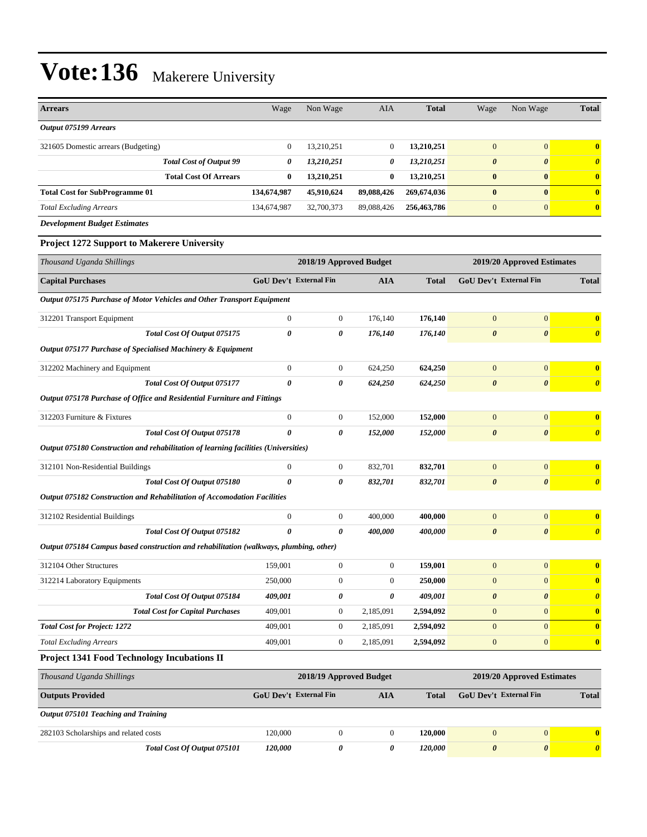| <b>Arrears</b>                                                                         | Wage                                                  | Non Wage                | AIA              | <b>Total</b> | Wage                   | Non Wage                   | <b>Total</b>          |
|----------------------------------------------------------------------------------------|-------------------------------------------------------|-------------------------|------------------|--------------|------------------------|----------------------------|-----------------------|
| Output 075199 Arrears                                                                  |                                                       |                         |                  |              |                        |                            |                       |
| 321605 Domestic arrears (Budgeting)                                                    | $\mathbf{0}$                                          | 13,210,251              | $\boldsymbol{0}$ | 13,210,251   | $\boldsymbol{0}$       | $\boldsymbol{0}$           | $\bf{0}$              |
| <b>Total Cost of Output 99</b>                                                         | 0                                                     | 13,210,251              | 0                | 13,210,251   | $\boldsymbol{\theta}$  | $\boldsymbol{\theta}$      | $\boldsymbol{\theta}$ |
| <b>Total Cost Of Arrears</b>                                                           | $\bf{0}$                                              | 13,210,251              | $\bf{0}$         | 13,210,251   | $\bf{0}$               | $\bf{0}$                   | $\bf{0}$              |
| <b>Total Cost for SubProgramme 01</b>                                                  | 134,674,987                                           | 45,910,624              | 89,088,426       | 269,674,036  | $\bf{0}$               | $\bf{0}$                   | $\bf{0}$              |
| <b>Total Excluding Arrears</b>                                                         | 134,674,987                                           | 32,700,373              | 89,088,426       | 256,463,786  | $\boldsymbol{0}$       | $\mathbf{0}$               | $\bf{0}$              |
| <b>Development Budget Estimates</b>                                                    |                                                       |                         |                  |              |                        |                            |                       |
| Project 1272 Support to Makerere University                                            |                                                       |                         |                  |              |                        |                            |                       |
| Thousand Uganda Shillings                                                              | 2018/19 Approved Budget<br>2019/20 Approved Estimates |                         |                  |              |                        |                            |                       |
| <b>Capital Purchases</b>                                                               | <b>GoU Dev't External Fin</b>                         |                         | <b>AIA</b>       | <b>Total</b> | GoU Dev't External Fin |                            | <b>Total</b>          |
| <b>Output 075175 Purchase of Motor Vehicles and Other Transport Equipment</b>          |                                                       |                         |                  |              |                        |                            |                       |
| 312201 Transport Equipment                                                             | $\boldsymbol{0}$                                      | $\mathbf{0}$            | 176,140          | 176,140      | $\boldsymbol{0}$       | $\boldsymbol{0}$           | $\bf{0}$              |
| Total Cost Of Output 075175                                                            | $\boldsymbol{\theta}$                                 | 0                       | 176,140          | 176,140      | $\boldsymbol{\theta}$  | $\boldsymbol{\theta}$      | $\boldsymbol{\theta}$ |
| Output 075177 Purchase of Specialised Machinery & Equipment                            |                                                       |                         |                  |              |                        |                            |                       |
| 312202 Machinery and Equipment                                                         | $\boldsymbol{0}$                                      | $\boldsymbol{0}$        | 624,250          | 624,250      | $\boldsymbol{0}$       | $\mathbf{0}$               | $\bf{0}$              |
| Total Cost Of Output 075177                                                            | $\boldsymbol{\theta}$                                 | $\theta$                | 624,250          | 624,250      | $\boldsymbol{\theta}$  | $\boldsymbol{\theta}$      | $\boldsymbol{\theta}$ |
| Output 075178 Purchase of Office and Residential Furniture and Fittings                |                                                       |                         |                  |              |                        |                            |                       |
| 312203 Furniture & Fixtures                                                            | $\boldsymbol{0}$                                      | $\mathbf{0}$            | 152,000          | 152,000      | $\mathbf{0}$           | $\mathbf{0}$               | $\bf{0}$              |
| Total Cost Of Output 075178                                                            | $\theta$                                              | 0                       | 152,000          | 152,000      | $\boldsymbol{\theta}$  | $\boldsymbol{\theta}$      | $\boldsymbol{\theta}$ |
| Output 075180 Construction and rehabilitation of learning facilities (Universities)    |                                                       |                         |                  |              |                        |                            |                       |
| 312101 Non-Residential Buildings                                                       | $\boldsymbol{0}$                                      | $\boldsymbol{0}$        | 832,701          | 832,701      | $\mathbf{0}$           | $\boldsymbol{0}$           | $\bf{0}$              |
| Total Cost Of Output 075180                                                            | 0                                                     | 0                       | 832,701          | 832,701      | $\boldsymbol{\theta}$  | $\boldsymbol{\theta}$      | $\boldsymbol{\theta}$ |
| Output 075182 Construction and Rehabilitation of Accomodation Facilities               |                                                       |                         |                  |              |                        |                            |                       |
| 312102 Residential Buildings                                                           | $\boldsymbol{0}$                                      | $\boldsymbol{0}$        | 400,000          | 400,000      | $\mathbf{0}$           | $\boldsymbol{0}$           | $\bf{0}$              |
| Total Cost Of Output 075182                                                            | $\boldsymbol{\theta}$                                 | $\theta$                | 400,000          | 400,000      | $\boldsymbol{\theta}$  | $\boldsymbol{\theta}$      | $\boldsymbol{\theta}$ |
| Output 075184 Campus based construction and rehabilitation (walkways, plumbing, other) |                                                       |                         |                  |              |                        |                            |                       |
| 312104 Other Structures                                                                | 159,001                                               | $\boldsymbol{0}$        | $\boldsymbol{0}$ | 159,001      | $\mathbf{0}$           | $\overline{0}$             | $\bf{0}$              |
| 312214 Laboratory Equipments                                                           | 250,000                                               | $\boldsymbol{0}$        | $\mathbf{0}$     | 250,000      | $\boldsymbol{0}$       | $\boldsymbol{0}$           | $\bf{0}$              |
| Total Cost Of Output 075184                                                            | 409,001                                               | 0                       | 0                | 409,001      | $\boldsymbol{\theta}$  | $\boldsymbol{\theta}$      | $\boldsymbol{\theta}$ |
| <b>Total Cost for Capital Purchases</b>                                                | 409,001                                               | $\boldsymbol{0}$        | 2,185,091        | 2,594,092    | $\boldsymbol{0}$       | $\boldsymbol{0}$           | $\bf{0}$              |
| <b>Total Cost for Project: 1272</b>                                                    | 409,001                                               | $\boldsymbol{0}$        | 2,185,091        | 2,594,092    | $\boldsymbol{0}$       | $\mathbf{0}$               | $\bf{0}$              |
| <b>Total Excluding Arrears</b>                                                         | 409,001                                               | $\boldsymbol{0}$        | 2,185,091        | 2,594,092    | $\boldsymbol{0}$       | $\mathbf{0}$               | $\bf{0}$              |
| <b>Project 1341 Food Technology Incubations II</b>                                     |                                                       |                         |                  |              |                        |                            |                       |
| Thousand Uganda Shillings                                                              |                                                       | 2018/19 Approved Budget |                  |              |                        | 2019/20 Approved Estimates |                       |
| <b>Outputs Provided</b>                                                                | GoU Dev't External Fin                                |                         | <b>AIA</b>       | <b>Total</b> | GoU Dev't External Fin |                            | <b>Total</b>          |
| Output 075101 Teaching and Training                                                    |                                                       |                         |                  |              |                        |                            |                       |
| 282103 Scholarships and related costs                                                  | 120,000                                               | $\boldsymbol{0}$        | $\boldsymbol{0}$ | 120,000      | $\boldsymbol{0}$       | $\boldsymbol{0}$           | $\bf{0}$              |
| Total Cost Of Output 075101                                                            | 120,000                                               | 0                       | 0                | 120,000      | 0                      | $\boldsymbol{\theta}$      | $\boldsymbol{\theta}$ |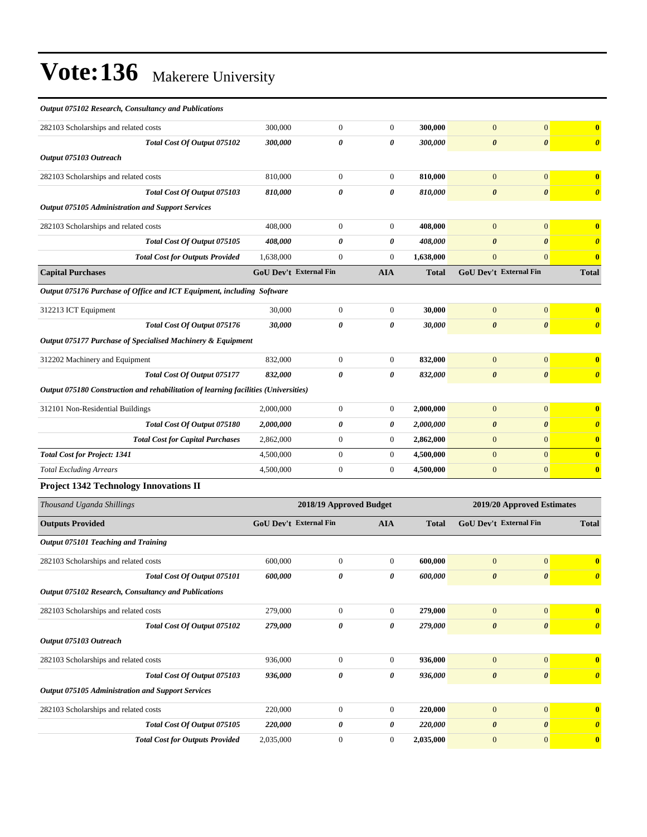#### *Output 075102 Research, Consultancy and Publications*

| 282103 Scholarships and related costs                                               | 300,000                | $\boldsymbol{0}$              | $\boldsymbol{0}$        | 300,000      | $\overline{0}$             | $\boldsymbol{0}$      | $\overline{\mathbf{0}}$ |
|-------------------------------------------------------------------------------------|------------------------|-------------------------------|-------------------------|--------------|----------------------------|-----------------------|-------------------------|
| Total Cost Of Output 075102                                                         | 300,000                | 0                             | 0                       | 300,000      | $\boldsymbol{\theta}$      | $\boldsymbol{\theta}$ | $\boldsymbol{\theta}$   |
| Output 075103 Outreach                                                              |                        |                               |                         |              |                            |                       |                         |
| 282103 Scholarships and related costs                                               | 810,000                | 0                             | $\boldsymbol{0}$        | 810,000      | $\overline{0}$             | $\boldsymbol{0}$      | $\mathbf{0}$            |
| Total Cost Of Output 075103                                                         | 810,000                | 0                             | 0                       | 810,000      | $\boldsymbol{\theta}$      | $\boldsymbol{\theta}$ | $\boldsymbol{\theta}$   |
| <b>Output 075105 Administration and Support Services</b>                            |                        |                               |                         |              |                            |                       |                         |
| 282103 Scholarships and related costs                                               | 408,000                | $\boldsymbol{0}$              | $\boldsymbol{0}$        | 408,000      | $\mathbf{0}$               | $\overline{0}$        | $\mathbf{0}$            |
| Total Cost Of Output 075105                                                         | 408,000                | 0                             | 0                       | 408,000      | $\boldsymbol{\theta}$      | $\boldsymbol{\theta}$ | $\boldsymbol{\theta}$   |
| <b>Total Cost for Outputs Provided</b>                                              | 1,638,000              | $\boldsymbol{0}$              | $\boldsymbol{0}$        | 1,638,000    | $\boldsymbol{0}$           | $\boldsymbol{0}$      | $\mathbf{0}$            |
| <b>Capital Purchases</b>                                                            |                        | <b>GoU Dev't External Fin</b> | <b>AIA</b>              | <b>Total</b> | GoU Dev't External Fin     |                       | <b>Total</b>            |
| Output 075176 Purchase of Office and ICT Equipment, including Software              |                        |                               |                         |              |                            |                       |                         |
| 312213 ICT Equipment                                                                | 30,000                 | $\boldsymbol{0}$              | $\mathbf{0}$            | 30,000       | $\mathbf{0}$               | $\overline{0}$        | $\mathbf{0}$            |
| Total Cost Of Output 075176                                                         | 30,000                 | 0                             | 0                       | 30,000       | $\boldsymbol{\theta}$      | $\boldsymbol{\theta}$ | $\boldsymbol{\theta}$   |
| Output 075177 Purchase of Specialised Machinery & Equipment                         |                        |                               |                         |              |                            |                       |                         |
| 312202 Machinery and Equipment                                                      | 832,000                | $\boldsymbol{0}$              | $\mathbf{0}$            | 832,000      | $\mathbf{0}$               | $\boldsymbol{0}$      | $\mathbf{0}$            |
| Total Cost Of Output 075177                                                         | 832,000                | 0                             | 0                       | 832,000      | $\boldsymbol{\theta}$      | $\boldsymbol{\theta}$ | $\boldsymbol{\theta}$   |
| Output 075180 Construction and rehabilitation of learning facilities (Universities) |                        |                               |                         |              |                            |                       |                         |
| 312101 Non-Residential Buildings                                                    | 2,000,000              | $\boldsymbol{0}$              | $\boldsymbol{0}$        | 2,000,000    | $\mathbf{0}$               | $\overline{0}$        | $\bf{0}$                |
| Total Cost Of Output 075180                                                         | 2,000,000              | 0                             | 0                       | 2,000,000    | $\boldsymbol{\theta}$      | $\boldsymbol{\theta}$ | $\boldsymbol{\theta}$   |
| <b>Total Cost for Capital Purchases</b>                                             | 2,862,000              | $\boldsymbol{0}$              | $\boldsymbol{0}$        | 2,862,000    | $\boldsymbol{0}$           | $\mathbf{0}$          | $\bf{0}$                |
| <b>Total Cost for Project: 1341</b>                                                 | 4,500,000              | $\boldsymbol{0}$              | $\mathbf{0}$            | 4,500,000    | $\mathbf{0}$               | $\overline{0}$        | $\bf{0}$                |
| <b>Total Excluding Arrears</b>                                                      | 4,500,000              | $\boldsymbol{0}$              | $\mathbf{0}$            | 4,500,000    | $\mathbf{0}$               | $\boldsymbol{0}$      | $\bf{0}$                |
| <b>Project 1342 Technology Innovations II</b>                                       |                        |                               |                         |              |                            |                       |                         |
| Thousand Uganda Shillings                                                           |                        |                               | 2018/19 Approved Budget |              | 2019/20 Approved Estimates |                       |                         |
| <b>Outputs Provided</b>                                                             | GoU Dev't External Fin |                               | <b>AIA</b>              | <b>Total</b> | GoU Dev't External Fin     |                       | <b>Total</b>            |
| Output 075101 Teaching and Training                                                 |                        |                               |                         |              |                            |                       |                         |
| 282103 Scholarships and related costs                                               | 600,000                | 0                             | $\boldsymbol{0}$        | 600,000      | $\mathbf{0}$               | $\boldsymbol{0}$      | $\bf{0}$                |
| Total Cost Of Output 075101                                                         | 600,000                | 0                             | 0                       | 600,000      | $\boldsymbol{\theta}$      | $\boldsymbol{\theta}$ | $\boldsymbol{\theta}$   |
| Output 075102 Research, Consultancy and Publications                                |                        |                               |                         |              |                            |                       |                         |
| 282103 Scholarships and related costs                                               | 279,000                | $\boldsymbol{0}$              | $\mathbf{0}$            | 279,000      | $\boldsymbol{0}$           | 0                     | $\bf{0}$                |
| Total Cost Of Output 075102                                                         | 279,000                | 0                             | 0                       | 279,000      | $\boldsymbol{\theta}$      | $\pmb{\theta}$        | $\boldsymbol{\theta}$   |
| Output 075103 Outreach                                                              |                        |                               |                         |              |                            |                       |                         |
| 282103 Scholarships and related costs                                               | 936,000                | $\boldsymbol{0}$              | $\boldsymbol{0}$        | 936,000      | $\mathbf{0}$               | $\vert 0 \vert$       | $\mathbf{0}$            |
| Total Cost Of Output 075103                                                         | 936,000                | 0                             | 0                       | 936,000      | $\boldsymbol{\theta}$      | $\pmb{\theta}$        | $\boldsymbol{\theta}$   |
| <b>Output 075105 Administration and Support Services</b>                            |                        |                               |                         |              |                            |                       |                         |
| 282103 Scholarships and related costs                                               | 220,000                | $\boldsymbol{0}$              | $\boldsymbol{0}$        | 220,000      | $\mathbf{0}$               | $\boldsymbol{0}$      | $\mathbf{0}$            |
| Total Cost Of Output 075105                                                         | 220,000                | 0                             | 0                       | 220,000      | $\boldsymbol{\theta}$      | 0                     | $\boldsymbol{\theta}$   |
| <b>Total Cost for Outputs Provided</b>                                              | 2,035,000              | $\boldsymbol{0}$              | $\boldsymbol{0}$        | 2,035,000    | $\boldsymbol{0}$           | $\boldsymbol{0}$      | $\mathbf{0}$            |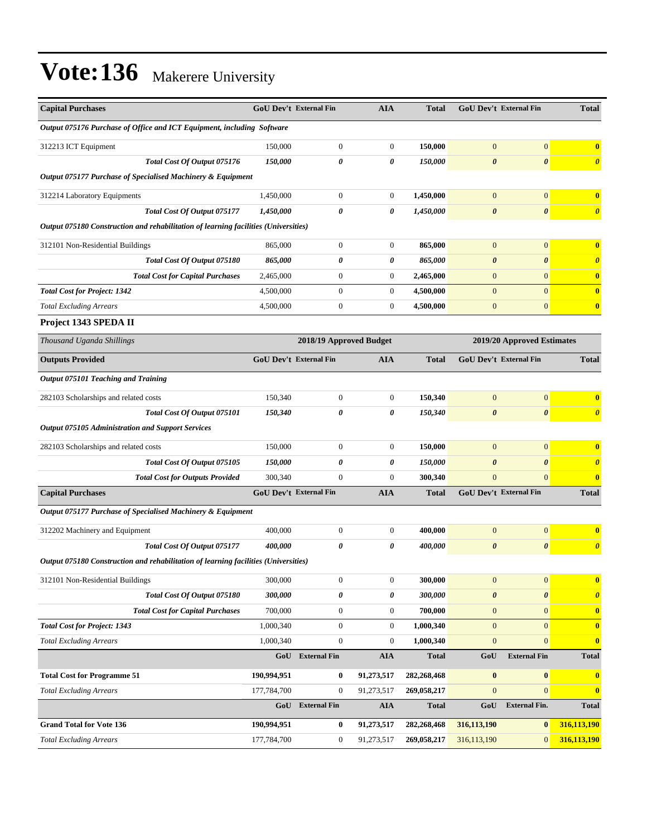| <b>Capital Purchases</b>                                                            | <b>GoU Dev't External Fin</b> |                         | <b>AIA</b>       | <b>Total</b> |                       | GoU Dev't External Fin     | <b>Total</b>          |
|-------------------------------------------------------------------------------------|-------------------------------|-------------------------|------------------|--------------|-----------------------|----------------------------|-----------------------|
| Output 075176 Purchase of Office and ICT Equipment, including Software              |                               |                         |                  |              |                       |                            |                       |
| 312213 ICT Equipment                                                                | 150,000                       | $\boldsymbol{0}$        | 0                | 150,000      | $\mathbf{0}$          | $\boldsymbol{0}$           | $\bf{0}$              |
| Total Cost Of Output 075176                                                         | 150,000                       | 0                       | 0                | 150,000      | $\boldsymbol{\theta}$ | $\boldsymbol{\theta}$      | $\boldsymbol{\theta}$ |
| Output 075177 Purchase of Specialised Machinery & Equipment                         |                               |                         |                  |              |                       |                            |                       |
| 312214 Laboratory Equipments                                                        | 1,450,000                     | $\boldsymbol{0}$        | $\boldsymbol{0}$ | 1,450,000    | $\mathbf{0}$          | $\boldsymbol{0}$           | $\bf{0}$              |
| Total Cost Of Output 075177                                                         | 1,450,000                     | 0                       | 0                | 1,450,000    | $\boldsymbol{\theta}$ | $\boldsymbol{\theta}$      | $\boldsymbol{\theta}$ |
| Output 075180 Construction and rehabilitation of learning facilities (Universities) |                               |                         |                  |              |                       |                            |                       |
| 312101 Non-Residential Buildings                                                    | 865,000                       | $\boldsymbol{0}$        | $\boldsymbol{0}$ | 865,000      | $\mathbf{0}$          | $\boldsymbol{0}$           | $\bf{0}$              |
| Total Cost Of Output 075180                                                         | 865,000                       | 0                       | 0                | 865,000      | $\boldsymbol{\theta}$ | $\boldsymbol{\theta}$      | $\boldsymbol{\theta}$ |
| <b>Total Cost for Capital Purchases</b>                                             | 2,465,000                     | $\boldsymbol{0}$        | $\boldsymbol{0}$ | 2,465,000    | $\boldsymbol{0}$      | $\mathbf{0}$               | $\bf{0}$              |
| <b>Total Cost for Project: 1342</b>                                                 | 4,500,000                     | $\boldsymbol{0}$        | $\boldsymbol{0}$ | 4,500,000    | $\mathbf{0}$          | $\overline{0}$             | $\bf{0}$              |
| <b>Total Excluding Arrears</b>                                                      | 4,500,000                     | $\boldsymbol{0}$        | $\boldsymbol{0}$ | 4,500,000    | $\boldsymbol{0}$      | $\mathbf{0}$               | $\mathbf{0}$          |
| Project 1343 SPEDA II                                                               |                               |                         |                  |              |                       |                            |                       |
| Thousand Uganda Shillings                                                           |                               | 2018/19 Approved Budget |                  |              |                       | 2019/20 Approved Estimates |                       |
| <b>Outputs Provided</b>                                                             | GoU Dev't External Fin        |                         | <b>AIA</b>       | <b>Total</b> |                       | GoU Dev't External Fin     | <b>Total</b>          |
| <b>Output 075101 Teaching and Training</b>                                          |                               |                         |                  |              |                       |                            |                       |
| 282103 Scholarships and related costs                                               | 150,340                       | $\boldsymbol{0}$        | $\boldsymbol{0}$ | 150,340      | $\mathbf{0}$          | $\mathbf{0}$               | $\bf{0}$              |
| Total Cost Of Output 075101                                                         | 150,340                       | 0                       | 0                | 150,340      | $\boldsymbol{\theta}$ | $\boldsymbol{\theta}$      | $\boldsymbol{\theta}$ |
| <b>Output 075105 Administration and Support Services</b>                            |                               |                         |                  |              |                       |                            |                       |
| 282103 Scholarships and related costs                                               | 150,000                       | $\boldsymbol{0}$        | $\boldsymbol{0}$ | 150,000      | $\mathbf{0}$          | $\mathbf{0}$               | $\bf{0}$              |
| Total Cost Of Output 075105                                                         | 150,000                       | 0                       | 0                | 150,000      | $\boldsymbol{\theta}$ | $\boldsymbol{\theta}$      | $\boldsymbol{\theta}$ |
| <b>Total Cost for Outputs Provided</b>                                              | 300,340                       | $\boldsymbol{0}$        | 0                | 300,340      | $\mathbf{0}$          | $\mathbf{0}$               | $\bf{0}$              |
| <b>Capital Purchases</b>                                                            | GoU Dev't External Fin        |                         | <b>AIA</b>       | <b>Total</b> |                       | GoU Dev't External Fin     | <b>Total</b>          |
| Output 075177 Purchase of Specialised Machinery & Equipment                         |                               |                         |                  |              |                       |                            |                       |
|                                                                                     |                               |                         |                  |              |                       |                            |                       |
| 312202 Machinery and Equipment                                                      | 400,000                       | $\boldsymbol{0}$        | $\mathbf{0}$     | 400,000      | $\mathbf{0}$          | $\mathbf{0}$               | $\bf{0}$              |
| Total Cost Of Output 075177                                                         | 400,000                       | 0                       | 0                | 400,000      | $\boldsymbol{\theta}$ | $\boldsymbol{\theta}$      | $\boldsymbol{\theta}$ |
| Output 075180 Construction and rehabilitation of learning facilities (Universities) |                               |                         |                  |              |                       |                            |                       |
| 312101 Non-Residential Buildings                                                    | 300,000                       | $\boldsymbol{0}$        | $\mathbf{0}$     | 300,000      | $\boldsymbol{0}$      | $\boldsymbol{0}$           | $\bf{0}$              |
| Total Cost Of Output 075180                                                         | 300,000                       | 0                       | 0                | 300,000      | $\boldsymbol{\theta}$ | $\boldsymbol{\theta}$      | $\boldsymbol{\theta}$ |
| <b>Total Cost for Capital Purchases</b>                                             | 700,000                       | $\boldsymbol{0}$        | $\boldsymbol{0}$ | 700,000      | $\mathbf{0}$          | $\mathbf{0}$               | $\mathbf{0}$          |
| <b>Total Cost for Project: 1343</b>                                                 | 1,000,340                     | $\boldsymbol{0}$        | $\boldsymbol{0}$ | 1,000,340    | $\boldsymbol{0}$      | $\mathbf{0}$               | $\mathbf{0}$          |
| <b>Total Excluding Arrears</b>                                                      | 1,000,340                     | $\boldsymbol{0}$        | $\boldsymbol{0}$ | 1,000,340    | $\boldsymbol{0}$      | $\mathbf{0}$               | $\bf{0}$              |
|                                                                                     |                               | GoU External Fin        | <b>AIA</b>       | <b>Total</b> | GoU                   | <b>External Fin</b>        | <b>Total</b>          |
| <b>Total Cost for Programme 51</b>                                                  | 190,994,951                   | 0                       | 91,273,517       | 282,268,468  | $\bf{0}$              | $\bf{0}$                   | $\bf{0}$              |
| <b>Total Excluding Arrears</b>                                                      | 177,784,700                   | $\boldsymbol{0}$        | 91,273,517       | 269,058,217  | $\mathbf{0}$          | $\mathbf{0}$               | $\boldsymbol{0}$      |
|                                                                                     | GoU                           | <b>External Fin</b>     | <b>AIA</b>       | <b>Total</b> | GoU                   | <b>External Fin.</b>       | <b>Total</b>          |
| <b>Grand Total for Vote 136</b>                                                     | 190,994,951                   | 0                       | 91,273,517       | 282,268,468  | 316,113,190           | $\bf{0}$                   | 316,113,190           |
| <b>Total Excluding Arrears</b>                                                      | 177,784,700                   | $\boldsymbol{0}$        | 91,273,517       | 269,058,217  | 316,113,190           | $\mathbf{0}$               | 316,113,190           |